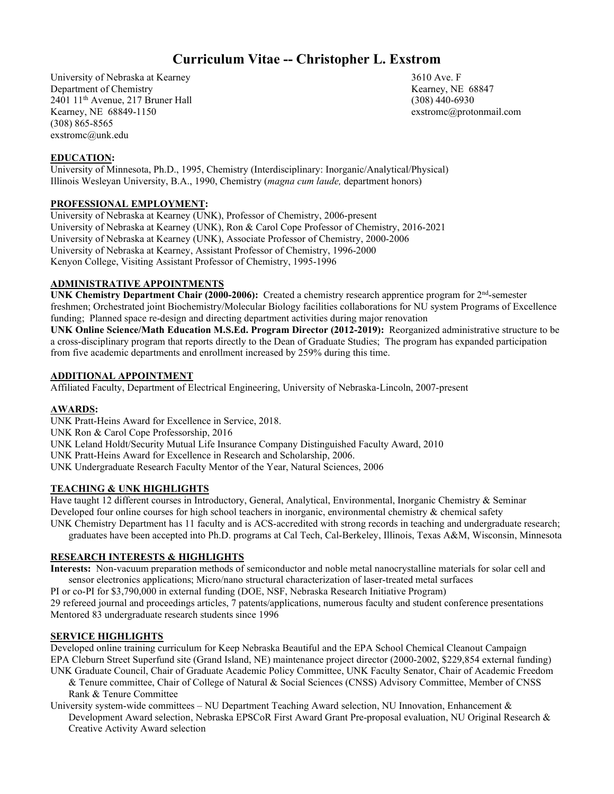# **Curriculum Vitae -- Christopher L. Exstrom**

University of Nebraska at Kearney 2610 Ave. F Department of Chemistry **Kearney, NE 68847** 2401 11th Avenue, 217 Bruner Hall (308) 440-6930 Kearney, NE 68849-1150 exstromc@protonmail.com (308) 865-8565 exstromc@unk.edu

## **EDUCATION:**

University of Minnesota, Ph.D., 1995, Chemistry (Interdisciplinary: Inorganic/Analytical/Physical) Illinois Wesleyan University, B.A., 1990, Chemistry (*magna cum laude,* department honors)

## **PROFESSIONAL EMPLOYMENT:**

University of Nebraska at Kearney (UNK), Professor of Chemistry, 2006-present University of Nebraska at Kearney (UNK), Ron & Carol Cope Professor of Chemistry, 2016-2021 University of Nebraska at Kearney (UNK), Associate Professor of Chemistry, 2000-2006 University of Nebraska at Kearney, Assistant Professor of Chemistry, 1996-2000 Kenyon College, Visiting Assistant Professor of Chemistry, 1995-1996

# **ADMINISTRATIVE APPOINTMENTS**

**UNK Chemistry Department Chair (2000-2006):** Created a chemistry research apprentice program for 2nd-semester freshmen; Orchestrated joint Biochemistry/Molecular Biology facilities collaborations for NU system Programs of Excellence funding; Planned space re-design and directing department activities during major renovation **UNK Online Science/Math Education M.S.Ed. Program Director (2012-2019):** Reorganized administrative structure to be a cross-disciplinary program that reports directly to the Dean of Graduate Studies; The program has expanded participation from five academic departments and enrollment increased by 259% during this time.

# **ADDITIONAL APPOINTMENT**

Affiliated Faculty, Department of Electrical Engineering, University of Nebraska-Lincoln, 2007-present

#### **AWARDS:**

UNK Pratt-Heins Award for Excellence in Service, 2018. UNK Ron & Carol Cope Professorship, 2016 UNK Leland Holdt/Security Mutual Life Insurance Company Distinguished Faculty Award, 2010 UNK Pratt-Heins Award for Excellence in Research and Scholarship, 2006. UNK Undergraduate Research Faculty Mentor of the Year, Natural Sciences, 2006

#### **TEACHING & UNK HIGHLIGHTS**

Have taught 12 different courses in Introductory, General, Analytical, Environmental, Inorganic Chemistry & Seminar Developed four online courses for high school teachers in inorganic, environmental chemistry & chemical safety UNK Chemistry Department has 11 faculty and is ACS-accredited with strong records in teaching and undergraduate research; graduates have been accepted into Ph.D. programs at Cal Tech, Cal-Berkeley, Illinois, Texas A&M, Wisconsin, Minnesota

### **RESEARCH INTERESTS & HIGHLIGHTS**

**Interests:** Non-vacuum preparation methods of semiconductor and noble metal nanocrystalline materials for solar cell and sensor electronics applications; Micro/nano structural characterization of laser-treated metal surfaces

PI or co-PI for \$3,790,000 in external funding (DOE, NSF, Nebraska Research Initiative Program)

29 refereed journal and proceedings articles, 7 patents/applications, numerous faculty and student conference presentations Mentored 83 undergraduate research students since 1996

#### **SERVICE HIGHLIGHTS**

Developed online training curriculum for Keep Nebraska Beautiful and the EPA School Chemical Cleanout Campaign EPA Cleburn Street Superfund site (Grand Island, NE) maintenance project director (2000-2002, \$229,854 external funding) UNK Graduate Council, Chair of Graduate Academic Policy Committee, UNK Faculty Senator, Chair of Academic Freedom

- & Tenure committee, Chair of College of Natural & Social Sciences (CNSS) Advisory Committee, Member of CNSS Rank & Tenure Committee
- University system-wide committees NU Department Teaching Award selection, NU Innovation, Enhancement & Development Award selection, Nebraska EPSCoR First Award Grant Pre-proposal evaluation, NU Original Research & Creative Activity Award selection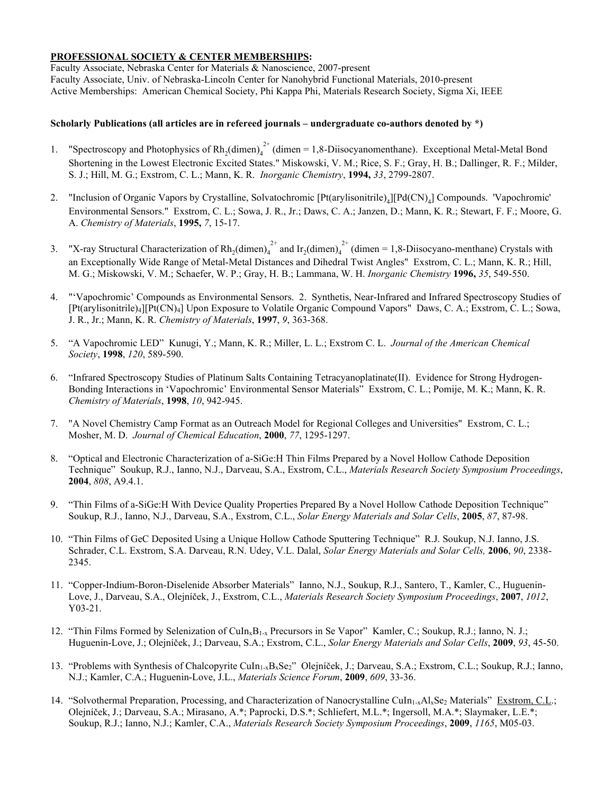## **PROFESSIONAL SOCIETY & CENTER MEMBERSHIPS:**

Faculty Associate, Nebraska Center for Materials & Nanoscience, 2007-present Faculty Associate, Univ. of Nebraska-Lincoln Center for Nanohybrid Functional Materials, 2010-present Active Memberships: American Chemical Society, Phi Kappa Phi, Materials Research Society, Sigma Xi, IEEE

## **Scholarly Publications (all articles are in refereed journals – undergraduate co-authors denoted by \*)**

- 1. "Spectroscopy and Photophysics of  $Rh_2(dimen)_4^{2+}$  (dimen = 1,8-Diisocyanomenthane). Exceptional Metal-Metal Bond Shortening in the Lowest Electronic Excited States." Miskowski, V. M.; Rice, S. F.; Gray, H. B.; Dallinger, R. F.; Milder, S. J.; Hill, M. G.; Exstrom, C. L.; Mann, K. R. *Inorganic Chemistry*, **1994,** *33*, 2799-2807.
- 2. "Inclusion of Organic Vapors by Crystalline, Solvatochromic [Pt(arylisonitrile)<sub>4</sub>][Pd(CN)<sub>4</sub>] Compounds. 'Vapochromic' Environmental Sensors." Exstrom, C. L.; Sowa, J. R., Jr.; Daws, C. A.; Janzen, D.; Mann, K. R.; Stewart, F. F.; Moore, G. A. *Chemistry of Materials*, **1995,** *7*, 15-17.
- 3. "X-ray Structural Characterization of  $Rh_2(dimen)_4^{2+}$  and  $Ir_2(dimen)_4^{2+}$  (dimen = 1,8-Diisocyano-menthane) Crystals with an Exceptionally Wide Range of Metal-Metal Distances and Dihedral Twist Angles" Exstrom, C. L.; Mann, K. R.; Hill, M. G.; Miskowski, V. M.; Schaefer, W. P.; Gray, H. B.; Lammana, W. H. *Inorganic Chemistry* **1996,** *35*, 549-550.
- 4. "'Vapochromic' Compounds as Environmental Sensors. 2. Synthetis, Near-Infrared and Infrared Spectroscopy Studies of [Pt(arylisonitrile)4][Pt(CN)4] Upon Exposure to Volatile Organic Compound Vapors" Daws, C. A.; Exstrom, C. L.; Sowa, J. R., Jr.; Mann, K. R. *Chemistry of Materials*, **1997**, *9*, 363-368.
- 5. "A Vapochromic LED" Kunugi, Y.; Mann, K. R.; Miller, L. L.; Exstrom C. L. *Journal of the American Chemical Society*, **1998**, *120*, 589-590.
- 6. "Infrared Spectroscopy Studies of Platinum Salts Containing Tetracyanoplatinate(II). Evidence for Strong Hydrogen-Bonding Interactions in 'Vapochromic' Environmental Sensor Materials" Exstrom, C. L.; Pomije, M. K.; Mann, K. R. *Chemistry of Materials*, **1998**, *10*, 942-945.
- 7. "A Novel Chemistry Camp Format as an Outreach Model for Regional Colleges and Universities" Exstrom, C. L.; Mosher, M. D. *Journal of Chemical Education*, **2000**, *77*, 1295-1297.
- 8. "Optical and Electronic Characterization of a-SiGe:H Thin Films Prepared by a Novel Hollow Cathode Deposition Technique" Soukup, R.J., Ianno, N.J., Darveau, S.A., Exstrom, C.L., *Materials Research Society Symposium Proceedings*, **2004**, *808*, A9.4.1.
- 9. "Thin Films of a-SiGe:H With Device Quality Properties Prepared By a Novel Hollow Cathode Deposition Technique" Soukup, R.J., Ianno, N.J., Darveau, S.A., Exstrom, C.L., *Solar Energy Materials and Solar Cells*, **2005**, *87*, 87-98.
- 10. "Thin Films of GeC Deposited Using a Unique Hollow Cathode Sputtering Technique" R.J. Soukup, N.J. Ianno, J.S. Schrader, C.L. Exstrom, S.A. Darveau, R.N. Udey, V.L. Dalal, *Solar Energy Materials and Solar Cells,* **2006**, *90*, 2338- 2345.
- 11. "Copper-Indium-Boron-Diselenide Absorber Materials" Ianno, N.J., Soukup, R.J., Santero, T., Kamler, C., Huguenin-Love, J., Darveau, S.A., Olejníček, J., Exstrom, C.L., *Materials Research Society Symposium Proceedings*, **2007**, *1012*, Y03-21.
- 12. "Thin Films Formed by Selenization of CuIn<sub>x</sub>B<sub>1-x</sub> Precursors in Se Vapor" Kamler, C.; Soukup, R.J.; Ianno, N. J.; Huguenin-Love, J.; Olejníček, J.; Darveau, S.A.; Exstrom, C.L., *Solar Energy Materials and Solar Cells*, **2009**, *93*, 45-50.
- 13. "Problems with Synthesis of Chalcopyrite CuIn1-xBxSe2" Olejníček, J.; Darveau, S.A.; Exstrom, C.L.; Soukup, R.J.; Ianno, N.J.; Kamler, C.A.; Huguenin-Love, J.L., *Materials Science Forum*, **2009**, *609*, 33-36.
- 14. "Solvothermal Preparation, Processing, and Characterization of Nanocrystalline CuIn<sub>1-x</sub>Al<sub>x</sub>Se<sub>2</sub> Materials" Exstrom, C.L.; Olejníček, J.; Darveau, S.A.; Mirasano, A.\*; Paprocki, D.S.\*; Schliefert, M.L.\*; Ingersoll, M.A.\*; Slaymaker, L.E.\*; Soukup, R.J.; Ianno, N.J.; Kamler, C.A., *Materials Research Society Symposium Proceedings*, **2009**, *1165*, M05-03.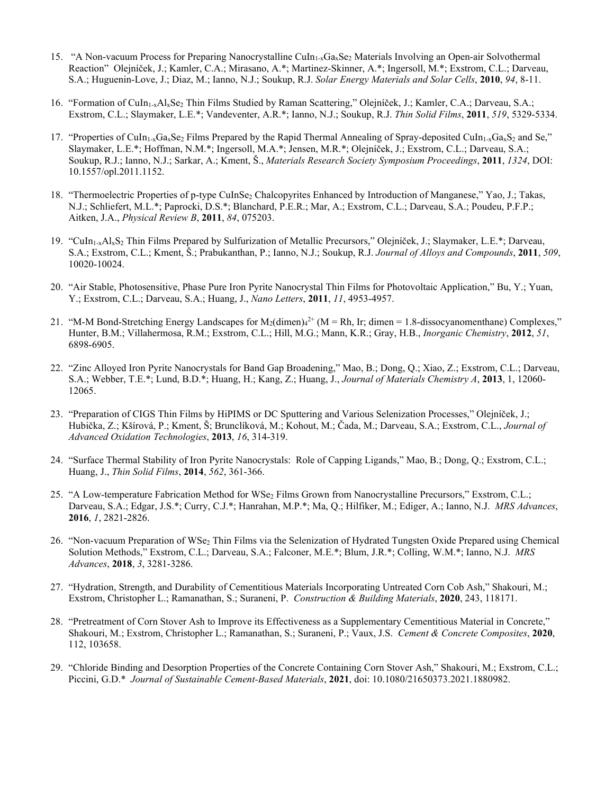- 15. "A Non-vacuum Process for Preparing Nanocrystalline CuIn<sub>1-x</sub>Ga<sub>x</sub>Se<sub>2</sub> Materials Involving an Open-air Solvothermal Reaction" Olejníček, J.; Kamler, C.A.; Mirasano, A.\*; Martinez-Skinner, A.\*; Ingersoll, M.\*; Exstrom, C.L.; Darveau, S.A.; Huguenin-Love, J.; Diaz, M.; Ianno, N.J.; Soukup, R.J. *Solar Energy Materials and Solar Cells*, **2010**, *94*, 8-11.
- 16. "Formation of CuIn1-xAlxSe2 Thin Films Studied by Raman Scattering," Olejníček, J.; Kamler, C.A.; Darveau, S.A.; Exstrom, C.L.; Slaymaker, L.E.\*; Vandeventer, A.R.\*; Ianno, N.J.; Soukup, R.J. *Thin Solid Films*, **2011**, *519*, 5329-5334.
- 17. "Properties of CuIn<sub>1-x</sub>Ga<sub>x</sub>Se<sub>2</sub> Films Prepared by the Rapid Thermal Annealing of Spray-deposited CuIn<sub>1-x</sub>Ga<sub>x</sub>S<sub>2</sub> and Se," Slaymaker, L.E.\*; Hoffman, N.M.\*; Ingersoll, M.A.\*; Jensen, M.R.\*; Olejníček, J.; Exstrom, C.L.; Darveau, S.A.; Soukup, R.J.; Ianno, N.J.; Sarkar, A.; Kment, Š., *Materials Research Society Symposium Proceedings*, **2011**, *1324*, DOI: 10.1557/opl.2011.1152.
- 18. "Thermoelectric Properties of p-type CuInSe<sub>2</sub> Chalcopyrites Enhanced by Introduction of Manganese," Yao, J.; Takas, N.J.; Schliefert, M.L.\*; Paprocki, D.S.\*; Blanchard, P.E.R.; Mar, A.; Exstrom, C.L.; Darveau, S.A.; Poudeu, P.F.P.; Aitken, J.A., *Physical Review B*, **2011**, *84*, 075203.
- 19. "CuIn1-xAlxS2 Thin Films Prepared by Sulfurization of Metallic Precursors," Olejníček, J.; Slaymaker, L.E.\*; Darveau, S.A.; Exstrom, C.L.; Kment, Š.; Prabukanthan, P.; Ianno, N.J.; Soukup, R.J. *Journal of Alloys and Compounds*, **2011**, *509*, 10020-10024.
- 20. "Air Stable, Photosensitive, Phase Pure Iron Pyrite Nanocrystal Thin Films for Photovoltaic Application," Bu, Y.; Yuan, Y.; Exstrom, C.L.; Darveau, S.A.; Huang, J., *Nano Letters*, **2011**, *11*, 4953-4957.
- 21. "M-M Bond-Stretching Energy Landscapes for  $M_2$ (dimen) $4^{2+}$  (M = Rh, Ir; dimen = 1.8-dissocyanomenthane) Complexes," Hunter, B.M.; Villahermosa, R.M.; Exstrom, C.L.; Hill, M.G.; Mann, K.R.; Gray, H.B., *Inorganic Chemistry*, **2012**, *51*, 6898-6905.
- 22. "Zinc Alloyed Iron Pyrite Nanocrystals for Band Gap Broadening," Mao, B.; Dong, Q.; Xiao, Z.; Exstrom, C.L.; Darveau, S.A.; Webber, T.E.\*; Lund, B.D.\*; Huang, H.; Kang, Z.; Huang, J., *Journal of Materials Chemistry A*, **2013**, 1, 12060- 12065.
- 23. "Preparation of CIGS Thin Films by HiPIMS or DC Sputtering and Various Selenization Processes," Olejníček, J.; Hubička, Z.; Kšírová, P.; Kment, Š; Brunclíková, M.; Kohout, M.; Čada, M.; Darveau, S.A.; Exstrom, C.L., *Journal of Advanced Oxidation Technologies*, **2013**, *16*, 314-319.
- 24. "Surface Thermal Stability of Iron Pyrite Nanocrystals: Role of Capping Ligands," Mao, B.; Dong, Q.; Exstrom, C.L.; Huang, J., *Thin Solid Films*, **2014**, *562*, 361-366.
- 25. "A Low-temperature Fabrication Method for WSe<sub>2</sub> Films Grown from Nanocrystalline Precursors," Exstrom, C.L.; Darveau, S.A.; Edgar, J.S.\*; Curry, C.J.\*; Hanrahan, M.P.\*; Ma, Q.; Hilfiker, M.; Ediger, A.; Ianno, N.J. *MRS Advances*, **2016**, *1*, 2821-2826.
- 26. "Non-vacuum Preparation of WSe<sub>2</sub> Thin Films via the Selenization of Hydrated Tungsten Oxide Prepared using Chemical Solution Methods," Exstrom, C.L.; Darveau, S.A.; Falconer, M.E.\*; Blum, J.R.\*; Colling, W.M.\*; Ianno, N.J. *MRS Advances*, **2018**, *3*, 3281-3286.
- 27. "Hydration, Strength, and Durability of Cementitious Materials Incorporating Untreated Corn Cob Ash," Shakouri, M.; Exstrom, Christopher L.; Ramanathan, S.; Suraneni, P. *Construction & Building Materials*, **2020**, 243, 118171.
- 28. "Pretreatment of Corn Stover Ash to Improve its Effectiveness as a Supplementary Cementitious Material in Concrete," Shakouri, M.; Exstrom, Christopher L.; Ramanathan, S.; Suraneni, P.; Vaux, J.S. *Cement & Concrete Composites*, **2020**, 112, 103658.
- 29. "Chloride Binding and Desorption Properties of the Concrete Containing Corn Stover Ash," Shakouri, M.; Exstrom, C.L.; Piccini, G.D.\* *Journal of Sustainable Cement-Based Materials*, **2021**, doi: 10.1080/21650373.2021.1880982.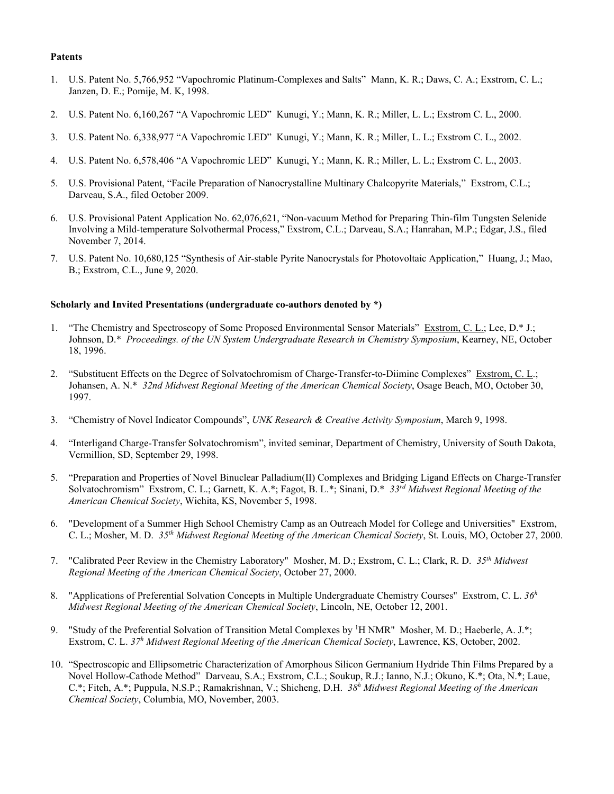#### **Patents**

- 1. U.S. Patent No. 5,766,952 "Vapochromic Platinum-Complexes and Salts" Mann, K. R.; Daws, C. A.; Exstrom, C. L.; Janzen, D. E.; Pomije, M. K, 1998.
- 2. U.S. Patent No. 6,160,267 "A Vapochromic LED" Kunugi, Y.; Mann, K. R.; Miller, L. L.; Exstrom C. L., 2000.
- 3. U.S. Patent No. 6,338,977 "A Vapochromic LED" Kunugi, Y.; Mann, K. R.; Miller, L. L.; Exstrom C. L., 2002.
- 4. U.S. Patent No. 6,578,406 "A Vapochromic LED" Kunugi, Y.; Mann, K. R.; Miller, L. L.; Exstrom C. L., 2003.
- 5. U.S. Provisional Patent, "Facile Preparation of Nanocrystalline Multinary Chalcopyrite Materials," Exstrom, C.L.; Darveau, S.A., filed October 2009.
- 6. U.S. Provisional Patent Application No. 62,076,621, "Non-vacuum Method for Preparing Thin-film Tungsten Selenide Involving a Mild-temperature Solvothermal Process," Exstrom, C.L.; Darveau, S.A.; Hanrahan, M.P.; Edgar, J.S., filed November 7, 2014.
- 7. U.S. Patent No. 10,680,125 "Synthesis of Air-stable Pyrite Nanocrystals for Photovoltaic Application," Huang, J.; Mao, B.; Exstrom, C.L., June 9, 2020.

#### **Scholarly and Invited Presentations (undergraduate co-authors denoted by \*)**

- 1. "The Chemistry and Spectroscopy of Some Proposed Environmental Sensor Materials" Exstrom, C. L.; Lee, D.\* J.; Johnson, D.\* *Proceedings. of the UN System Undergraduate Research in Chemistry Symposium*, Kearney, NE, October 18, 1996.
- 2. "Substituent Effects on the Degree of Solvatochromism of Charge-Transfer-to-Diimine Complexes" Exstrom, C. L.; Johansen, A. N.\* *32nd Midwest Regional Meeting of the American Chemical Society*, Osage Beach, MO, October 30, 1997.
- 3. "Chemistry of Novel Indicator Compounds", *UNK Research & Creative Activity Symposium*, March 9, 1998.
- 4. "Interligand Charge-Transfer Solvatochromism", invited seminar, Department of Chemistry, University of South Dakota, Vermillion, SD, September 29, 1998.
- 5. "Preparation and Properties of Novel Binuclear Palladium(II) Complexes and Bridging Ligand Effects on Charge-Transfer Solvatochromism" Exstrom, C. L.; Garnett, K. A.\*; Fagot, B. L.\*; Sinani, D.\* *33rd Midwest Regional Meeting of the American Chemical Society*, Wichita, KS, November 5, 1998.
- 6. "Development of a Summer High School Chemistry Camp as an Outreach Model for College and Universities" Exstrom, C. L.; Mosher, M. D. *35th Midwest Regional Meeting of the American Chemical Society*, St. Louis, MO, October 27, 2000.
- 7. "Calibrated Peer Review in the Chemistry Laboratory" Mosher, M. D.; Exstrom, C. L.; Clark, R. D. *35th Midwest Regional Meeting of the American Chemical Society*, October 27, 2000.
- 8. "Applications of Preferential Solvation Concepts in Multiple Undergraduate Chemistry Courses" Exstrom, C. L. *36h Midwest Regional Meeting of the American Chemical Society*, Lincoln, NE, October 12, 2001.
- 9. "Study of the Preferential Solvation of Transition Metal Complexes by <sup>1</sup>H NMR" Mosher, M. D.; Haeberle, A. J.\*; Exstrom, C. L. *37h Midwest Regional Meeting of the American Chemical Society*, Lawrence, KS, October, 2002.
- 10. "Spectroscopic and Ellipsometric Characterization of Amorphous Silicon Germanium Hydride Thin Films Prepared by a Novel Hollow-Cathode Method" Darveau, S.A.; Exstrom, C.L.; Soukup, R.J.; Ianno, N.J.; Okuno, K.\*; Ota, N.\*; Laue, C.\*; Fitch, A.\*; Puppula, N.S.P.; Ramakrishnan, V.; Shicheng, D.H. *38h Midwest Regional Meeting of the American Chemical Society*, Columbia, MO, November, 2003.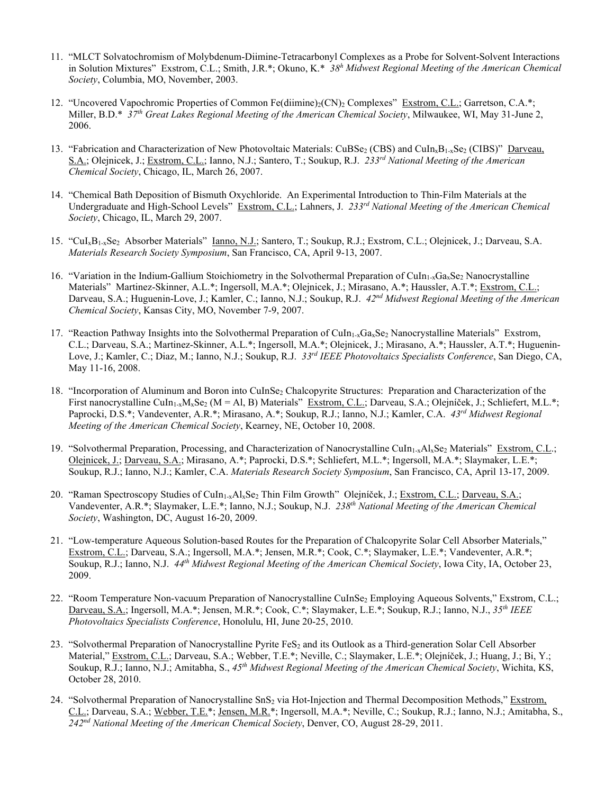- 11. "MLCT Solvatochromism of Molybdenum-Diimine-Tetracarbonyl Complexes as a Probe for Solvent-Solvent Interactions in Solution Mixtures" Exstrom, C.L.; Smith, J.R.\*; Okuno, K.\* *38h Midwest Regional Meeting of the American Chemical Society*, Columbia, MO, November, 2003.
- 12. "Uncovered Vapochromic Properties of Common Fe(diimine)<sub>2</sub>(CN)<sub>2</sub> Complexes" Exstrom, C.L.; Garretson, C.A.\*; Miller, B.D.\* *37th Great Lakes Regional Meeting of the American Chemical Society*, Milwaukee, WI, May 31-June 2, 2006.
- 13. "Fabrication and Characterization of New Photovoltaic Materials: CuBSe<sub>2</sub> (CBS) and CuIn<sub>x</sub>B<sub>1-x</sub>Se<sub>2</sub> (CIBS)" Darveau, S.A.; Olejnicek, J.; Exstrom, C.L.; Ianno, N.J.; Santero, T.; Soukup, R.J. *233rd National Meeting of the American Chemical Society*, Chicago, IL, March 26, 2007.
- 14. "Chemical Bath Deposition of Bismuth Oxychloride. An Experimental Introduction to Thin-Film Materials at the Undergraduate and High-School Levels" Exstrom, C.L.; Lahners, J. 233<sup>rd</sup> National Meeting of the American Chemical *Society*, Chicago, IL, March 29, 2007.
- 15. "CuIxB1-xSe2 Absorber Materials" Ianno, N.J.; Santero, T.; Soukup, R.J.; Exstrom, C.L.; Olejnicek, J.; Darveau, S.A. *Materials Research Society Symposium*, San Francisco, CA, April 9-13, 2007.
- 16. "Variation in the Indium-Gallium Stoichiometry in the Solvothermal Preparation of CuIn<sub>1-x</sub>Ga<sub>x</sub>Se<sub>2</sub> Nanocrystalline Materials" Martinez-Skinner, A.L.\*; Ingersoll, M.A.\*; Olejnicek, J.; Mirasano, A.\*; Haussler, A.T.\*; Exstrom, C.L.; Darveau, S.A.; Huguenin-Love, J.; Kamler, C.; Ianno, N.J.; Soukup, R.J. *42nd Midwest Regional Meeting of the American Chemical Society*, Kansas City, MO, November 7-9, 2007.
- 17. "Reaction Pathway Insights into the Solvothermal Preparation of CuIn<sub>1-x</sub>Ga<sub>x</sub>Se<sub>2</sub> Nanocrystalline Materials" Exstrom, C.L.; Darveau, S.A.; Martinez-Skinner, A.L.\*; Ingersoll, M.A.\*; Olejnicek, J.; Mirasano, A.\*; Haussler, A.T.\*; Huguenin-Love, J.; Kamler, C.; Diaz, M.; Ianno, N.J.; Soukup, R.J. *33rd IEEE Photovoltaics Specialists Conference*, San Diego, CA, May 11-16, 2008.
- 18. "Incorporation of Aluminum and Boron into CuInSe<sub>2</sub> Chalcopyrite Structures: Preparation and Characterization of the First nanocrystalline CuIn<sub>1-x</sub>M<sub>x</sub>Se<sub>2</sub> (M = Al, B) Materials" Exstrom, C.L.; Darveau, S.A.; Olejníček, J.; Schliefert, M.L.\*; Paprocki, D.S.\*; Vandeventer, A.R.\*; Mirasano, A.\*; Soukup, R.J.; Ianno, N.J.; Kamler, C.A. *43rd Midwest Regional Meeting of the American Chemical Society*, Kearney, NE, October 10, 2008.
- 19. "Solvothermal Preparation, Processing, and Characterization of Nanocrystalline CuIn<sub>1-x</sub>Al<sub>x</sub>Se<sub>2</sub> Materials" Exstrom, C.L.; Olejnicek, J.; Darveau, S.A.; Mirasano, A.\*; Paprocki, D.S.\*; Schliefert, M.L.\*; Ingersoll, M.A.\*; Slaymaker, L.E.\*; Soukup, R.J.; Ianno, N.J.; Kamler, C.A. *Materials Research Society Symposium*, San Francisco, CA, April 13-17, 2009.
- 20. "Raman Spectroscopy Studies of CuIn<sub>1-x</sub>Al<sub>x</sub>Se<sub>2</sub> Thin Film Growth" Olejníček, J.; Exstrom, C.L.; Darveau, S.A.; Vandeventer, A.R.\*; Slaymaker, L.E.\*; Ianno, N.J.; Soukup, N.J. *238th National Meeting of the American Chemical Society*, Washington, DC, August 16-20, 2009.
- 21. "Low-temperature Aqueous Solution-based Routes for the Preparation of Chalcopyrite Solar Cell Absorber Materials," Exstrom, C.L.; Darveau, S.A.; Ingersoll, M.A.\*; Jensen, M.R.\*; Cook, C.\*; Slaymaker, L.E.\*; Vandeventer, A.R.\*; Soukup, R.J.; Ianno, N.J. *44th Midwest Regional Meeting of the American Chemical Society*, Iowa City, IA, October 23, 2009.
- 22. "Room Temperature Non-vacuum Preparation of Nanocrystalline CuInSe<sub>2</sub> Employing Aqueous Solvents," Exstrom, C.L.; Darveau, S.A.; Ingersoll, M.A.\*; Jensen, M.R.\*; Cook, C.\*; Slaymaker, L.E.\*; Soukup, R.J.; Ianno, N.J., *35th IEEE Photovoltaics Specialists Conference*, Honolulu, HI, June 20-25, 2010.
- 23. "Solvothermal Preparation of Nanocrystalline Pyrite FeS<sub>2</sub> and its Outlook as a Third-generation Solar Cell Absorber Material," Exstrom, C.L.; Darveau, S.A.; Webber, T.E.\*; Neville, C.; Slaymaker, L.E.\*; Olejníček, J.; Huang, J.; Bi, Y.; Soukup, R.J.; Ianno, N.J.; Amitabha, S., *45th Midwest Regional Meeting of the American Chemical Society*, Wichita, KS, October 28, 2010.
- 24. "Solvothermal Preparation of Nanocrystalline SnS<sub>2</sub> via Hot-Injection and Thermal Decomposition Methods," Exstrom, C.L.; Darveau, S.A.; Webber, T.E.\*; Jensen, M.R.\*; Ingersoll, M.A.\*; Neville, C.; Soukup, R.J.; Ianno, N.J.; Amitabha, S., *242nd National Meeting of the American Chemical Society*, Denver, CO, August 28-29, 2011.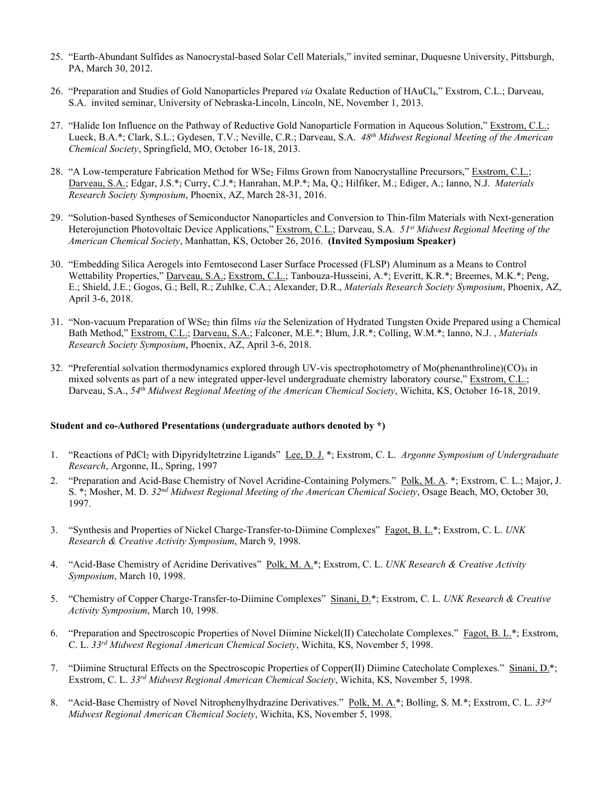- 25. "Earth-Abundant Sulfides as Nanocrystal-based Solar Cell Materials," invited seminar, Duquesne University, Pittsburgh, PA, March 30, 2012.
- 26. "Preparation and Studies of Gold Nanoparticles Prepared *via* Oxalate Reduction of HAuCl4," Exstrom, C.L.; Darveau, S.A. invited seminar, University of Nebraska-Lincoln, Lincoln, NE, November 1, 2013.
- 27. "Halide Ion Influence on the Pathway of Reductive Gold Nanoparticle Formation in Aqueous Solution," Exstrom, C.L.; Lueck, B.A.\*; Clark, S.L.; Gydesen, T.V.; Neville, C.R.; Darveau, S.A. *48th Midwest Regional Meeting of the American Chemical Society*, Springfield, MO, October 16-18, 2013.
- 28. "A Low-temperature Fabrication Method for WSe<sub>2</sub> Films Grown from Nanocrystalline Precursors," Exstrom, C.L.; Darveau, S.A.; Edgar, J.S.\*; Curry, C.J.\*; Hanrahan, M.P.\*; Ma, Q.; Hilfiker, M.; Ediger, A.; Ianno, N.J. *Materials Research Society Symposium*, Phoenix, AZ, March 28-31, 2016.
- 29. "Solution-based Syntheses of Semiconductor Nanoparticles and Conversion to Thin-film Materials with Next-generation Heterojunction Photovoltaic Device Applications," Exstrom, C.L.; Darveau, S.A. *51st Midwest Regional Meeting of the American Chemical Society*, Manhattan, KS, October 26, 2016. **(Invited Symposium Speaker)**
- 30. "Embedding Silica Aerogels into Femtosecond Laser Surface Processed (FLSP) Aluminum as a Means to Control Wettability Properties," Darveau, S.A.; Exstrom, C.L.; Tanbouza-Husseini, A.\*; Everitt, K.R.\*; Breemes, M.K.\*; Peng, E.; Shield, J.E.; Gogos, G.; Bell, R.; Zuhlke, C.A.; Alexander, D.R., *Materials Research Society Symposium*, Phoenix, AZ, April 3-6, 2018.
- 31. "Non-vacuum Preparation of WSe2 thin films *via* the Selenization of Hydrated Tungsten Oxide Prepared using a Chemical Bath Method," Exstrom, C.L.; Darveau, S.A.; Falconer, M.E.\*; Blum, J.R.\*; Colling, W.M.\*; Ianno, N.J. , *Materials Research Society Symposium*, Phoenix, AZ, April 3-6, 2018.
- 32. "Preferential solvation thermodynamics explored through UV-vis spectrophotometry of Mo(phenanthroline)(CO)<sub>4</sub> in mixed solvents as part of a new integrated upper-level undergraduate chemistry laboratory course," Exstrom, C.L.; Darveau, S.A., *54th Midwest Regional Meeting of the American Chemical Society*, Wichita, KS, October 16-18, 2019.

#### **Student and co-Authored Presentations (undergraduate authors denoted by \*)**

- 1. "Reactions of PdCl2 with Dipyridyltetrzine Ligands" Lee, D. J. \*; Exstrom, C. L. *Argonne Symposium of Undergraduate Research*, Argonne, IL, Spring, 1997
- 2. "Preparation and Acid-Base Chemistry of Novel Acridine-Containing Polymers." Polk, M. A. \*; Exstrom, C. L.; Major, J. S. \*; Mosher, M. D. *32nd Midwest Regional Meeting of the American Chemical Society*, Osage Beach, MO, October 30, 1997.
- 3. "Synthesis and Properties of Nickel Charge-Transfer-to-Diimine Complexes" Fagot, B. L.\*; Exstrom, C. L. *UNK Research & Creative Activity Symposium*, March 9, 1998.
- 4. "Acid-Base Chemistry of Acridine Derivatives" Polk, M. A.\*; Exstrom, C. L. *UNK Research & Creative Activity Symposium*, March 10, 1998.
- 5. "Chemistry of Copper Charge-Transfer-to-Diimine Complexes" Sinani, D.\*; Exstrom, C. L. *UNK Research & Creative Activity Symposium*, March 10, 1998.
- 6. "Preparation and Spectroscopic Properties of Novel Diimine Nickel(II) Catecholate Complexes." Fagot, B. L.\*; Exstrom, C. L. *33rd Midwest Regional American Chemical Society*, Wichita, KS, November 5, 1998.
- 7. "Diimine Structural Effects on the Spectroscopic Properties of Copper(II) Diimine Catecholate Complexes." Sinani, D.\*; Exstrom, C. L. *33rd Midwest Regional American Chemical Society*, Wichita, KS, November 5, 1998.
- 8. "Acid-Base Chemistry of Novel Nitrophenylhydrazine Derivatives." Polk, M. A.\*; Bolling, S. M.\*; Exstrom, C. L. *33rd Midwest Regional American Chemical Society*, Wichita, KS, November 5, 1998.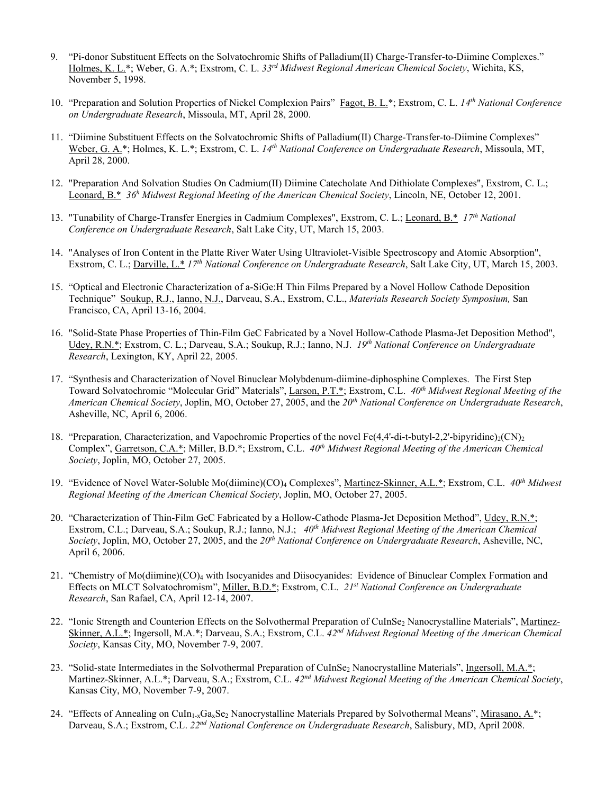- 9. "Pi-donor Substituent Effects on the Solvatochromic Shifts of Palladium(II) Charge-Transfer-to-Diimine Complexes." Holmes, K. L.\*; Weber, G. A.\*; Exstrom, C. L. *33rd Midwest Regional American Chemical Society*, Wichita, KS, November 5, 1998.
- 10. "Preparation and Solution Properties of Nickel Complexion Pairs" Fagot, B. L.\*; Exstrom, C. L. *14th National Conference on Undergraduate Research*, Missoula, MT, April 28, 2000.
- 11. "Diimine Substituent Effects on the Solvatochromic Shifts of Palladium(II) Charge-Transfer-to-Diimine Complexes" Weber, G. A.\*; Holmes, K. L.\*; Exstrom, C. L. *14th National Conference on Undergraduate Research*, Missoula, MT, April 28, 2000.
- 12. "Preparation And Solvation Studies On Cadmium(II) Diimine Catecholate And Dithiolate Complexes", Exstrom, C. L.; Leonard, B.\* *36h Midwest Regional Meeting of the American Chemical Society*, Lincoln, NE, October 12, 2001.
- 13. "Tunability of Charge-Transfer Energies in Cadmium Complexes", Exstrom, C. L.; Leonard, B.\* *17th National Conference on Undergraduate Research*, Salt Lake City, UT, March 15, 2003.
- 14. "Analyses of Iron Content in the Platte River Water Using Ultraviolet-Visible Spectroscopy and Atomic Absorption", Exstrom, C. L.; Darville, L.\* *17th National Conference on Undergraduate Research*, Salt Lake City, UT, March 15, 2003.
- 15. "Optical and Electronic Characterization of a-SiGe:H Thin Films Prepared by a Novel Hollow Cathode Deposition Technique" Soukup, R.J., Ianno, N.J., Darveau, S.A., Exstrom, C.L., *Materials Research Society Symposium,* San Francisco, CA, April 13-16, 2004.
- 16. "Solid-State Phase Properties of Thin-Film GeC Fabricated by a Novel Hollow-Cathode Plasma-Jet Deposition Method", Udey, R.N.\*; Exstrom, C. L.; Darveau, S.A.; Soukup, R.J.; Ianno, N.J. *19th National Conference on Undergraduate Research*, Lexington, KY, April 22, 2005.
- 17. "Synthesis and Characterization of Novel Binuclear Molybdenum-diimine-diphosphine Complexes. The First Step Toward Solvatochromic "Molecular Grid" Materials", Larson, P.T.\*; Exstrom, C.L. *40th Midwest Regional Meeting of the American Chemical Society*, Joplin, MO, October 27, 2005, and the *20th National Conference on Undergraduate Research*, Asheville, NC, April 6, 2006.
- 18. "Preparation, Characterization, and Vapochromic Properties of the novel Fe(4,4'-di-t-butyl-2,2'-bipyridine)<sub>2</sub>(CN)<sub>2</sub> Complex", Garretson, C.A.\*; Miller, B.D.\*; Exstrom, C.L. *40th Midwest Regional Meeting of the American Chemical Society*, Joplin, MO, October 27, 2005.
- 19. "Evidence of Novel Water-Soluble Mo(diimine)(CO)4 Complexes", Martinez-Skinner, A.L.\*; Exstrom, C.L. *40th Midwest Regional Meeting of the American Chemical Society*, Joplin, MO, October 27, 2005.
- 20. "Characterization of Thin-Film GeC Fabricated by a Hollow-Cathode Plasma-Jet Deposition Method", Udey, R.N.\*; Exstrom, C.L.; Darveau, S.A.; Soukup, R.J.; Ianno, N.J.; *40th Midwest Regional Meeting of the American Chemical Society*, Joplin, MO, October 27, 2005, and the *20th National Conference on Undergraduate Research*, Asheville, NC, April 6, 2006.
- 21. "Chemistry of Mo(diimine)(CO)4 with Isocyanides and Diisocyanides: Evidence of Binuclear Complex Formation and Effects on MLCT Solvatochromism", Miller, B.D.\*; Exstrom, C.L. *21st National Conference on Undergraduate Research*, San Rafael, CA, April 12-14, 2007.
- 22. "Ionic Strength and Counterion Effects on the Solvothermal Preparation of CuInSe<sub>2</sub> Nanocrystalline Materials", Martinez-Skinner, A.L.\*; Ingersoll, M.A.\*; Darveau, S.A.; Exstrom, C.L. *42nd Midwest Regional Meeting of the American Chemical Society*, Kansas City, MO, November 7-9, 2007.
- 23. "Solid-state Intermediates in the Solvothermal Preparation of CuInSe<sub>2</sub> Nanocrystalline Materials", Ingersoll, M.A.\*; Martinez-Skinner, A.L.\*; Darveau, S.A.; Exstrom, C.L. *42nd Midwest Regional Meeting of the American Chemical Society*, Kansas City, MO, November 7-9, 2007.
- 24. "Effects of Annealing on CuIn<sub>1-x</sub>Ga<sub>x</sub>Se<sub>2</sub> Nanocrystalline Materials Prepared by Solvothermal Means", Mirasano, A.\*; Darveau, S.A.; Exstrom, C.L. *22nd National Conference on Undergraduate Research*, Salisbury, MD, April 2008.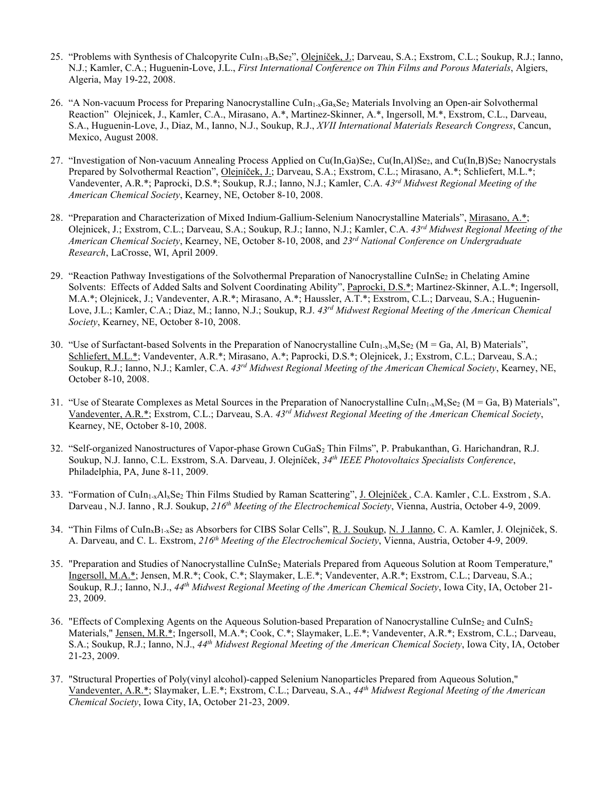- 25. "Problems with Synthesis of Chalcopyrite CuIn<sub>1-x</sub>B<sub>x</sub>Se<sub>2</sub>", Olejníček, J.; Darveau, S.A.; Exstrom, C.L.; Soukup, R.J.; Ianno, N.J.; Kamler, C.A.; Huguenin-Love, J.L., *First International Conference on Thin Films and Porous Materials*, Algiers, Algeria, May 19-22, 2008.
- 26. "A Non-vacuum Process for Preparing Nanocrystalline CuIn<sub>1-x</sub>Ga<sub>x</sub>Se<sub>2</sub> Materials Involving an Open-air Solvothermal Reaction" Olejnicek, J., Kamler, C.A., Mirasano, A.\*, Martinez-Skinner, A.\*, Ingersoll, M.\*, Exstrom, C.L., Darveau, S.A., Huguenin-Love, J., Diaz, M., Ianno, N.J., Soukup, R.J., *XVII International Materials Research Congress*, Cancun, Mexico, August 2008.
- 27. "Investigation of Non-vacuum Annealing Process Applied on Cu(In,Ga)Se<sub>2</sub>, Cu(In,Al)Se<sub>2</sub>, and Cu(In,B)Se<sub>2</sub> Nanocrystals Prepared by Solvothermal Reaction", Olejníček, J.; Darveau, S.A.; Exstrom, C.L.; Mirasano, A.\*; Schliefert, M.L.\*; Vandeventer, A.R.\*; Paprocki, D.S.\*; Soukup, R.J.; Ianno, N.J.; Kamler, C.A. *43rd Midwest Regional Meeting of the American Chemical Society*, Kearney, NE, October 8-10, 2008.
- 28. "Preparation and Characterization of Mixed Indium-Gallium-Selenium Nanocrystalline Materials", Mirasano, A.\*; Olejnicek, J.; Exstrom, C.L.; Darveau, S.A.; Soukup, R.J.; Ianno, N.J.; Kamler, C.A. *43rd Midwest Regional Meeting of the American Chemical Society*, Kearney, NE, October 8-10, 2008, and *23rd National Conference on Undergraduate Research*, LaCrosse, WI, April 2009.
- 29. "Reaction Pathway Investigations of the Solvothermal Preparation of Nanocrystalline CuInSe<sub>2</sub> in Chelating Amine Solvents: Effects of Added Salts and Solvent Coordinating Ability", Paprocki, D.S.\*; Martinez-Skinner, A.L.\*; Ingersoll, M.A.\*; Olejnicek, J.; Vandeventer, A.R.\*; Mirasano, A.\*; Haussler, A.T.\*; Exstrom, C.L.; Darveau, S.A.; Huguenin-Love, J.L.; Kamler, C.A.; Diaz, M.; Ianno, N.J.; Soukup, R.J. *43rd Midwest Regional Meeting of the American Chemical Society*, Kearney, NE, October 8-10, 2008.
- 30. "Use of Surfactant-based Solvents in the Preparation of Nanocrystalline CuIn<sub>1-x</sub>M<sub>x</sub>Se<sub>2</sub> (M = Ga, Al, B) Materials", Schliefert, M.L.\*; Vandeventer, A.R.\*; Mirasano, A.\*; Paprocki, D.S.\*; Olejnicek, J.; Exstrom, C.L.; Darveau, S.A.; Soukup, R.J.; Ianno, N.J.; Kamler, C.A. *43rd Midwest Regional Meeting of the American Chemical Society*, Kearney, NE, October 8-10, 2008.
- 31. "Use of Stearate Complexes as Metal Sources in the Preparation of Nanocrystalline CuIn<sub>1-x</sub>M<sub>x</sub>Se<sub>2</sub> (M = Ga, B) Materials", Vandeventer, A.R.\*; Exstrom, C.L.; Darveau, S.A. *43rd Midwest Regional Meeting of the American Chemical Society*, Kearney, NE, October 8-10, 2008.
- 32. "Self-organized Nanostructures of Vapor-phase Grown CuGaS2 Thin Films", P. Prabukanthan, G. Harichandran, R.J. Soukup, N.J. Ianno, C.L. Exstrom, S.A. Darveau, J. Olejníček, *34th IEEE Photovoltaics Specialists Conference*, Philadelphia, PA, June 8-11, 2009.
- 33. "Formation of CuIn<sub>1-x</sub>Al<sub>x</sub>Se<sub>2</sub> Thin Films Studied by Raman Scattering", J. Olejníček, C.A. Kamler, C.L. Exstrom, S.A. Darveau , N.J. Ianno , R.J. Soukup, *216th Meeting of the Electrochemical Society*, Vienna, Austria, October 4-9, 2009.
- 34. "Thin Films of CuIn<sub>x</sub>B<sub>1-x</sub>Se<sub>2</sub> as Absorbers for CIBS Solar Cells", R. J. Soukup, N. J .Ianno, C. A. Kamler, J. Olejniček, S. A. Darveau, and C. L. Exstrom, *216th Meeting of the Electrochemical Society*, Vienna, Austria, October 4-9, 2009.
- 35. "Preparation and Studies of Nanocrystalline CuInSe<sub>2</sub> Materials Prepared from Aqueous Solution at Room Temperature," Ingersoll, M.A.\*; Jensen, M.R.\*; Cook, C.\*; Slaymaker, L.E.\*; Vandeventer, A.R.\*; Exstrom, C.L.; Darveau, S.A.; Soukup, R.J.; Ianno, N.J., *44th Midwest Regional Meeting of the American Chemical Society*, Iowa City, IA, October 21- 23, 2009.
- 36. "Effects of Complexing Agents on the Aqueous Solution-based Preparation of Nanocrystalline CuInSe<sub>2</sub> and CuInS<sub>2</sub> Materials," Jensen, M.R.\*; Ingersoll, M.A.\*; Cook, C.\*; Slaymaker, L.E.\*; Vandeventer, A.R.\*; Exstrom, C.L.; Darveau, S.A.; Soukup, R.J.; Ianno, N.J., *44th Midwest Regional Meeting of the American Chemical Society*, Iowa City, IA, October 21-23, 2009.
- 37. "Structural Properties of Poly(vinyl alcohol)-capped Selenium Nanoparticles Prepared from Aqueous Solution," Vandeventer, A.R.\*; Slaymaker, L.E.\*; Exstrom, C.L.; Darveau, S.A., *44th Midwest Regional Meeting of the American Chemical Society*, Iowa City, IA, October 21-23, 2009.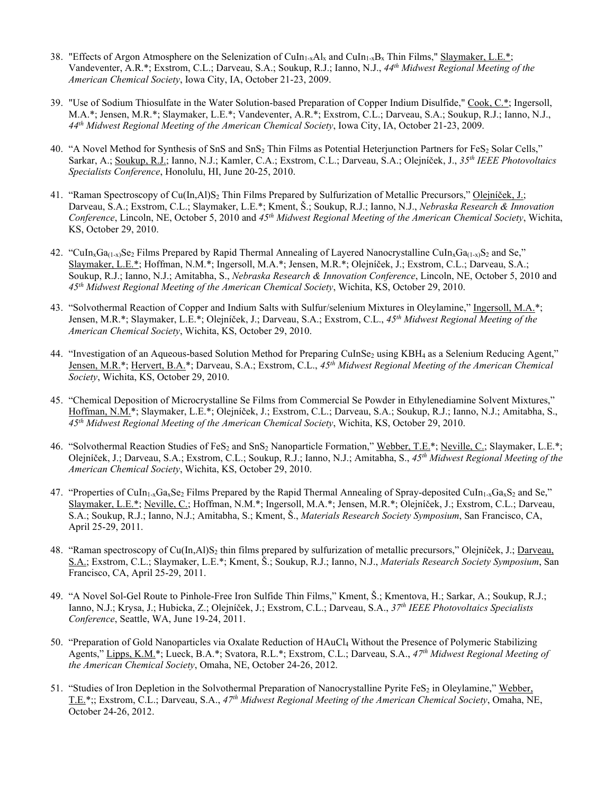- 38. "Effects of Argon Atmosphere on the Selenization of CuIn<sub>1-x</sub>Al<sub>x</sub> and CuIn<sub>1-x</sub>B<sub>x</sub> Thin Films," Slaymaker, L.E.\*; Vandeventer, A.R.\*; Exstrom, C.L.; Darveau, S.A.; Soukup, R.J.; Ianno, N.J., *44th Midwest Regional Meeting of the American Chemical Society*, Iowa City, IA, October 21-23, 2009.
- 39. "Use of Sodium Thiosulfate in the Water Solution-based Preparation of Copper Indium Disulfide," Cook, C.\*; Ingersoll, M.A.\*; Jensen, M.R.\*; Slaymaker, L.E.\*; Vandeventer, A.R.\*; Exstrom, C.L.; Darveau, S.A.; Soukup, R.J.; Ianno, N.J., *44th Midwest Regional Meeting of the American Chemical Society*, Iowa City, IA, October 21-23, 2009.
- 40. "A Novel Method for Synthesis of SnS and SnS<sub>2</sub> Thin Films as Potential Heterjunction Partners for FeS<sub>2</sub> Solar Cells," Sarkar, A.; Soukup, R.J.; Ianno, N.J.; Kamler, C.A.; Exstrom, C.L.; Darveau, S.A.; Olejníček, J., *35th IEEE Photovoltaics Specialists Conference*, Honolulu, HI, June 20-25, 2010.
- 41. "Raman Spectroscopy of Cu(In,Al)S2 Thin Films Prepared by Sulfurization of Metallic Precursors," Olejníček, J.; Darveau, S.A.; Exstrom, C.L.; Slaymaker, L.E.\*; Kment, Š.; Soukup, R.J.; Ianno, N.J., *Nebraska Research & Innovation Conference*, Lincoln, NE, October 5, 2010 and *45th Midwest Regional Meeting of the American Chemical Society*, Wichita, KS, October 29, 2010.
- 42. "CuIn<sub>x</sub>Ga<sub>(1-x)</sub>Se<sub>2</sub> Films Prepared by Rapid Thermal Annealing of Layered Nanocrystalline CuIn<sub>x</sub>Ga<sub>(1-x)</sub>S<sub>2</sub> and Se," Slaymaker, L.E.\*; Hoffman, N.M.\*; Ingersoll, M.A.\*; Jensen, M.R.\*; Olejníček, J.; Exstrom, C.L.; Darveau, S.A.; Soukup, R.J.; Ianno, N.J.; Amitabha, S., *Nebraska Research & Innovation Conference*, Lincoln, NE, October 5, 2010 and *45th Midwest Regional Meeting of the American Chemical Society*, Wichita, KS, October 29, 2010.
- 43. "Solvothermal Reaction of Copper and Indium Salts with Sulfur/selenium Mixtures in Oleylamine," Ingersoll, M.A.\*; Jensen, M.R.\*; Slaymaker, L.E.\*; Olejníček, J.; Darveau, S.A.; Exstrom, C.L., *45th Midwest Regional Meeting of the American Chemical Society*, Wichita, KS, October 29, 2010.
- 44. "Investigation of an Aqueous-based Solution Method for Preparing CuInSe<sub>2</sub> using KBH<sub>4</sub> as a Selenium Reducing Agent," Jensen, M.R.\*; Hervert, B.A.\*; Darveau, S.A.; Exstrom, C.L., *45th Midwest Regional Meeting of the American Chemical Society*, Wichita, KS, October 29, 2010.
- 45. "Chemical Deposition of Microcrystalline Se Films from Commercial Se Powder in Ethylenediamine Solvent Mixtures," Hoffman, N.M.\*; Slaymaker, L.E.\*; Olejníček, J.; Exstrom, C.L.; Darveau, S.A.; Soukup, R.J.; Ianno, N.J.; Amitabha, S., *45th Midwest Regional Meeting of the American Chemical Society*, Wichita, KS, October 29, 2010.
- 46. "Solvothermal Reaction Studies of FeS<sub>2</sub> and SnS<sub>2</sub> Nanoparticle Formation," Webber, T.E.\*; Neville, C.; Slaymaker, L.E.\*; Olejníček, J.; Darveau, S.A.; Exstrom, C.L.; Soukup, R.J.; Ianno, N.J.; Amitabha, S., *45th Midwest Regional Meeting of the American Chemical Society*, Wichita, KS, October 29, 2010.
- 47. "Properties of CuIn<sub>1-x</sub>Ga<sub>x</sub>Se<sub>2</sub> Films Prepared by the Rapid Thermal Annealing of Spray-deposited CuIn<sub>1-x</sub>Ga<sub>x</sub>S<sub>2</sub> and Se," Slaymaker, L.E.\*; Neville, C.; Hoffman, N.M.\*; Ingersoll, M.A.\*; Jensen, M.R.\*; Olejníček, J.; Exstrom, C.L.; Darveau, S.A.; Soukup, R.J.; Ianno, N.J.; Amitabha, S.; Kment, Š., *Materials Research Society Symposium*, San Francisco, CA, April 25-29, 2011.
- 48. "Raman spectroscopy of Cu(In,Al)S2 thin films prepared by sulfurization of metallic precursors," Olejníček, J.; Darveau, S.A.; Exstrom, C.L.; Slaymaker, L.E.\*; Kment, Š.; Soukup, R.J.; Ianno, N.J., *Materials Research Society Symposium*, San Francisco, CA, April 25-29, 2011.
- 49. "A Novel Sol-Gel Route to Pinhole-Free Iron Sulfide Thin Films," Kment, Š.; Kmentova, H.; Sarkar, A.; Soukup, R.J.; Ianno, N.J.; Krysa, J.; Hubicka, Z.; Olejníček, J.; Exstrom, C.L.; Darveau, S.A., *37th IEEE Photovoltaics Specialists Conference*, Seattle, WA, June 19-24, 2011.
- 50. "Preparation of Gold Nanoparticles via Oxalate Reduction of HAuCl4 Without the Presence of Polymeric Stabilizing Agents," Lipps, K.M.\*; Lueck, B.A.\*; Svatora, R.L.\*; Exstrom, C.L.; Darveau, S.A., *47th Midwest Regional Meeting of the American Chemical Society*, Omaha, NE, October 24-26, 2012.
- 51. "Studies of Iron Depletion in the Solvothermal Preparation of Nanocrystalline Pyrite FeS<sub>2</sub> in Oleylamine," Webber, T.E.\*;; Exstrom, C.L.; Darveau, S.A., *47th Midwest Regional Meeting of the American Chemical Society*, Omaha, NE, October 24-26, 2012.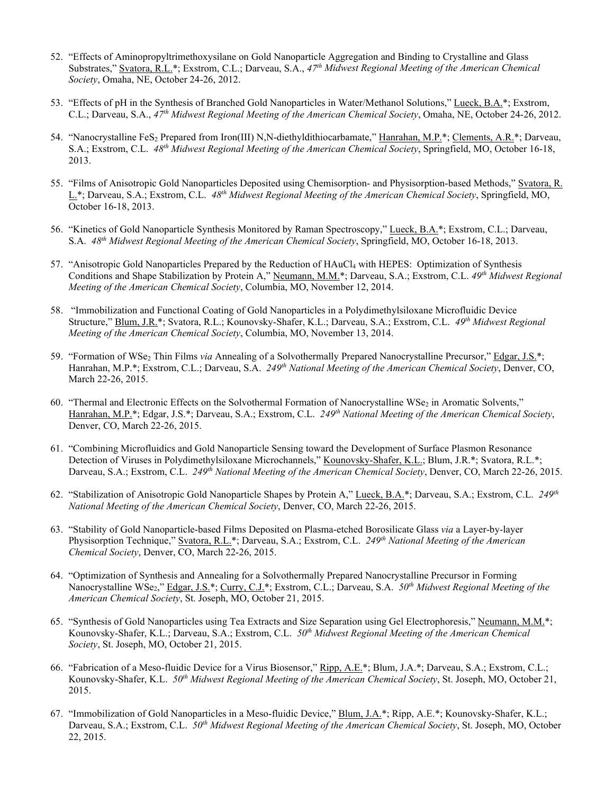- 52. "Effects of Aminopropyltrimethoxysilane on Gold Nanoparticle Aggregation and Binding to Crystalline and Glass Substrates," Svatora, R.L.\*; Exstrom, C.L.; Darveau, S.A., *47th Midwest Regional Meeting of the American Chemical Society*, Omaha, NE, October 24-26, 2012.
- 53. "Effects of pH in the Synthesis of Branched Gold Nanoparticles in Water/Methanol Solutions," Lueck, B.A.\*; Exstrom, C.L.; Darveau, S.A., *47th Midwest Regional Meeting of the American Chemical Society*, Omaha, NE, October 24-26, 2012.
- 54. "Nanocrystalline FeS<sub>2</sub> Prepared from Iron(III) N,N-diethyldithiocarbamate," Hanrahan, M.P.\*; Clements, A.R.\*; Darveau, S.A.; Exstrom, C.L. *48th Midwest Regional Meeting of the American Chemical Society*, Springfield, MO, October 16-18, 2013.
- 55. "Films of Anisotropic Gold Nanoparticles Deposited using Chemisorption- and Physisorption-based Methods," Svatora, R. L.\*; Darveau, S.A.; Exstrom, C.L. *48th Midwest Regional Meeting of the American Chemical Society*, Springfield, MO, October 16-18, 2013.
- 56. "Kinetics of Gold Nanoparticle Synthesis Monitored by Raman Spectroscopy," Lueck, B.A.\*; Exstrom, C.L.; Darveau, S.A. *48th Midwest Regional Meeting of the American Chemical Society*, Springfield, MO, October 16-18, 2013.
- 57. "Anisotropic Gold Nanoparticles Prepared by the Reduction of HAuCl4 with HEPES: Optimization of Synthesis Conditions and Shape Stabilization by Protein A," Neumann, M.M.\*; Darveau, S.A.; Exstrom, C.L. *49th Midwest Regional Meeting of the American Chemical Society*, Columbia, MO, November 12, 2014.
- 58. "Immobilization and Functional Coating of Gold Nanoparticles in a Polydimethylsiloxane Microfluidic Device Structure," Blum, J.R.\*; Svatora, R.L.; Kounovsky-Shafer, K.L.; Darveau, S.A.; Exstrom, C.L. *49th Midwest Regional Meeting of the American Chemical Society*, Columbia, MO, November 13, 2014.
- 59. "Formation of WSe<sub>2</sub> Thin Films via Annealing of a Solvothermally Prepared Nanocrystalline Precursor," Edgar, J.S.\*; Hanrahan, M.P.\*; Exstrom, C.L.; Darveau, S.A. *249th National Meeting of the American Chemical Society*, Denver, CO, March 22-26, 2015.
- 60. "Thermal and Electronic Effects on the Solvothermal Formation of Nanocrystalline WSe<sub>2</sub> in Aromatic Solvents," Hanrahan, M.P.\*; Edgar, J.S.\*; Darveau, S.A.; Exstrom, C.L. *249th National Meeting of the American Chemical Society*, Denver, CO, March 22-26, 2015.
- 61. "Combining Microfluidics and Gold Nanoparticle Sensing toward the Development of Surface Plasmon Resonance Detection of Viruses in Polydimethylsiloxane Microchannels," Kounovsky-Shafer, K.L.; Blum, J.R.\*; Svatora, R.L.\*; Darveau, S.A.; Exstrom, C.L. *249th National Meeting of the American Chemical Society*, Denver, CO, March 22-26, 2015.
- 62. "Stabilization of Anisotropic Gold Nanoparticle Shapes by Protein A," Lueck, B.A.\*; Darveau, S.A.; Exstrom, C.L. *249th National Meeting of the American Chemical Society*, Denver, CO, March 22-26, 2015.
- 63. "Stability of Gold Nanoparticle-based Films Deposited on Plasma-etched Borosilicate Glass *via* a Layer-by-layer Physisorption Technique," Svatora, R.L.\*; Darveau, S.A.; Exstrom, C.L. *249th National Meeting of the American Chemical Society*, Denver, CO, March 22-26, 2015.
- 64. "Optimization of Synthesis and Annealing for a Solvothermally Prepared Nanocrystalline Precursor in Forming Nanocrystalline WSe<sub>2</sub>," Edgar, J.S.\*; Curry, C.J.\*; Exstrom, C.L.; Darveau, S.A. 50<sup>th</sup> Midwest Regional Meeting of the *American Chemical Society*, St. Joseph, MO, October 21, 2015.
- 65. "Synthesis of Gold Nanoparticles using Tea Extracts and Size Separation using Gel Electrophoresis," Neumann, M.M.\*; Kounovsky-Shafer, K.L.; Darveau, S.A.; Exstrom, C.L. *50th Midwest Regional Meeting of the American Chemical Society*, St. Joseph, MO, October 21, 2015.
- 66. "Fabrication of a Meso-fluidic Device for a Virus Biosensor," Ripp, A.E.\*; Blum, J.A.\*; Darveau, S.A.; Exstrom, C.L.; Kounovsky-Shafer, K.L. *50th Midwest Regional Meeting of the American Chemical Society*, St. Joseph, MO, October 21, 2015.
- 67. "Immobilization of Gold Nanoparticles in a Meso-fluidic Device," Blum, J.A.\*; Ripp, A.E.\*; Kounovsky-Shafer, K.L.; Darveau, S.A.; Exstrom, C.L. *50th Midwest Regional Meeting of the American Chemical Society*, St. Joseph, MO, October 22, 2015.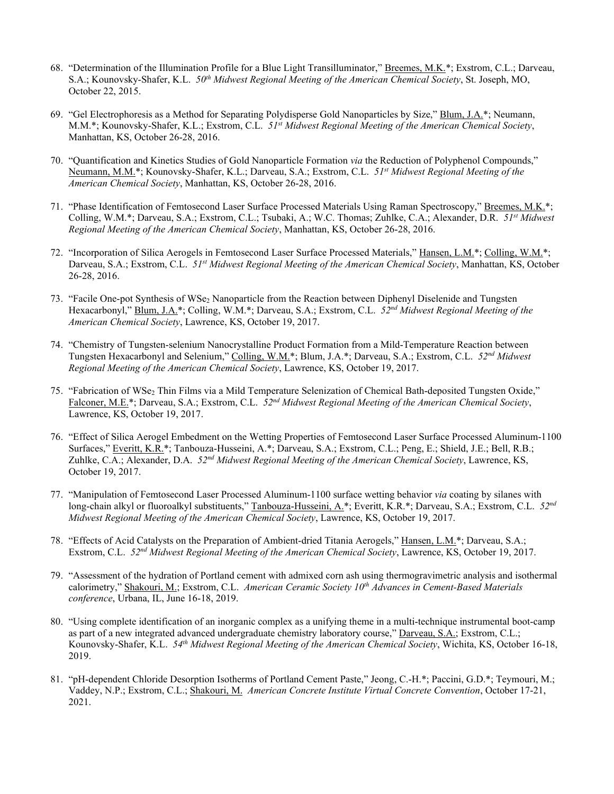- 68. "Determination of the Illumination Profile for a Blue Light Transilluminator," Breemes, M.K.\*; Exstrom, C.L.; Darveau, S.A.; Kounovsky-Shafer, K.L. *50th Midwest Regional Meeting of the American Chemical Society*, St. Joseph, MO, October 22, 2015.
- 69. "Gel Electrophoresis as a Method for Separating Polydisperse Gold Nanoparticles by Size," Blum, J.A.\*; Neumann, M.M.\*; Kounovsky-Shafer, K.L.; Exstrom, C.L. *51st Midwest Regional Meeting of the American Chemical Society*, Manhattan, KS, October 26-28, 2016.
- 70. "Quantification and Kinetics Studies of Gold Nanoparticle Formation *via* the Reduction of Polyphenol Compounds," Neumann, M.M.\*; Kounovsky-Shafer, K.L.; Darveau, S.A.; Exstrom, C.L. *51st Midwest Regional Meeting of the American Chemical Society*, Manhattan, KS, October 26-28, 2016.
- 71. "Phase Identification of Femtosecond Laser Surface Processed Materials Using Raman Spectroscopy," Breemes, M.K.\*; Colling, W.M.\*; Darveau, S.A.; Exstrom, C.L.; Tsubaki, A.; W.C. Thomas; Zuhlke, C.A.; Alexander, D.R. *51st Midwest Regional Meeting of the American Chemical Society*, Manhattan, KS, October 26-28, 2016.
- 72. "Incorporation of Silica Aerogels in Femtosecond Laser Surface Processed Materials," Hansen, L.M.\*; Colling, W.M.\*; Darveau, S.A.; Exstrom, C.L. *51st Midwest Regional Meeting of the American Chemical Society*, Manhattan, KS, October 26-28, 2016.
- 73. "Facile One-pot Synthesis of WSe<sub>2</sub> Nanoparticle from the Reaction between Diphenyl Diselenide and Tungsten Hexacarbonyl," Blum, J.A.\*; Colling, W.M.\*; Darveau, S.A.; Exstrom, C.L. *52nd Midwest Regional Meeting of the American Chemical Society*, Lawrence, KS, October 19, 2017.
- 74. "Chemistry of Tungsten-selenium Nanocrystalline Product Formation from a Mild-Temperature Reaction between Tungsten Hexacarbonyl and Selenium," Colling, W.M.\*; Blum, J.A.\*; Darveau, S.A.; Exstrom, C.L. *52nd Midwest Regional Meeting of the American Chemical Society*, Lawrence, KS, October 19, 2017.
- 75. "Fabrication of WSe2 Thin Films via a Mild Temperature Selenization of Chemical Bath-deposited Tungsten Oxide," Falconer, M.E.\*; Darveau, S.A.; Exstrom, C.L. *52nd Midwest Regional Meeting of the American Chemical Society*, Lawrence, KS, October 19, 2017.
- 76. "Effect of Silica Aerogel Embedment on the Wetting Properties of Femtosecond Laser Surface Processed Aluminum-1100 Surfaces," Everitt, K.R.\*; Tanbouza-Husseini, A.\*; Darveau, S.A.; Exstrom, C.L.; Peng, E.; Shield, J.E.; Bell, R.B.; Zuhlke, C.A.; Alexander, D.A. *52nd Midwest Regional Meeting of the American Chemical Society*, Lawrence, KS, October 19, 2017.
- 77. "Manipulation of Femtosecond Laser Processed Aluminum-1100 surface wetting behavior *via* coating by silanes with long-chain alkyl or fluoroalkyl substituents," Tanbouza-Husseini, A.\*; Everitt, K.R.\*; Darveau, S.A.; Exstrom, C.L. *52nd Midwest Regional Meeting of the American Chemical Society*, Lawrence, KS, October 19, 2017.
- 78. "Effects of Acid Catalysts on the Preparation of Ambient-dried Titania Aerogels," Hansen, L.M.\*; Darveau, S.A.; Exstrom, C.L. *52nd Midwest Regional Meeting of the American Chemical Society*, Lawrence, KS, October 19, 2017.
- 79. "Assessment of the hydration of Portland cement with admixed corn ash using thermogravimetric analysis and isothermal calorimetry," Shakouri, M.; Exstrom, C.L. *American Ceramic Society 10th Advances in Cement-Based Materials conference*, Urbana, IL, June 16-18, 2019.
- 80. "Using complete identification of an inorganic complex as a unifying theme in a multi-technique instrumental boot-camp as part of a new integrated advanced undergraduate chemistry laboratory course," Darveau, S.A.; Exstrom, C.L.; Kounovsky-Shafer, K.L. *54th Midwest Regional Meeting of the American Chemical Society*, Wichita, KS, October 16-18, 2019.
- 81. "pH-dependent Chloride Desorption Isotherms of Portland Cement Paste," Jeong, C.-H.\*; Paccini, G.D.\*; Teymouri, M.; Vaddey, N.P.; Exstrom, C.L.; Shakouri, M. *American Concrete Institute Virtual Concrete Convention*, October 17-21, 2021.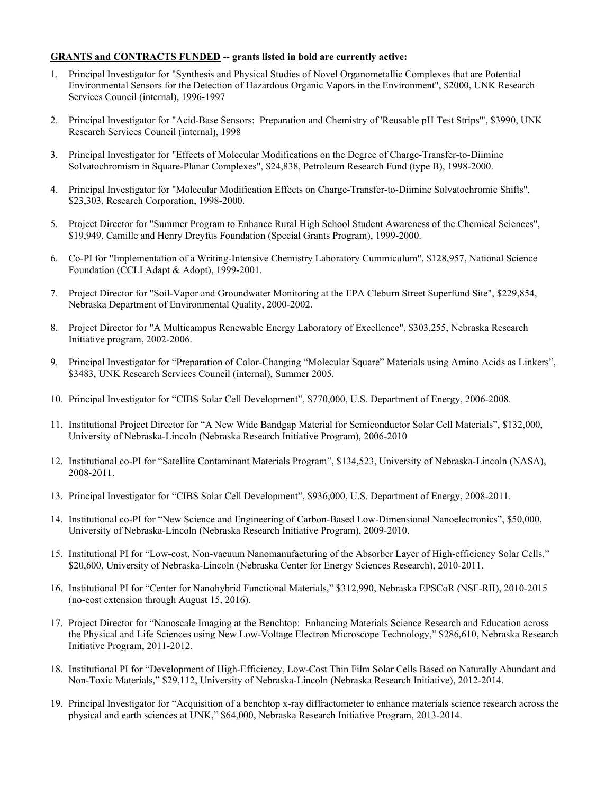## **GRANTS and CONTRACTS FUNDED -- grants listed in bold are currently active:**

- 1. Principal Investigator for "Synthesis and Physical Studies of Novel Organometallic Complexes that are Potential Environmental Sensors for the Detection of Hazardous Organic Vapors in the Environment", \$2000, UNK Research Services Council (internal), 1996-1997
- 2. Principal Investigator for "Acid-Base Sensors: Preparation and Chemistry of 'Reusable pH Test Strips'", \$3990, UNK Research Services Council (internal), 1998
- 3. Principal Investigator for "Effects of Molecular Modifications on the Degree of Charge-Transfer-to-Diimine Solvatochromism in Square-Planar Complexes", \$24,838, Petroleum Research Fund (type B), 1998-2000.
- 4. Principal Investigator for "Molecular Modification Effects on Charge-Transfer-to-Diimine Solvatochromic Shifts", \$23,303, Research Corporation, 1998-2000.
- 5. Project Director for "Summer Program to Enhance Rural High School Student Awareness of the Chemical Sciences", \$19,949, Camille and Henry Dreyfus Foundation (Special Grants Program), 1999-2000.
- 6. Co-PI for "Implementation of a Writing-Intensive Chemistry Laboratory Cummiculum", \$128,957, National Science Foundation (CCLI Adapt & Adopt), 1999-2001.
- 7. Project Director for "Soil-Vapor and Groundwater Monitoring at the EPA Cleburn Street Superfund Site", \$229,854, Nebraska Department of Environmental Quality, 2000-2002.
- 8. Project Director for "A Multicampus Renewable Energy Laboratory of Excellence", \$303,255, Nebraska Research Initiative program, 2002-2006.
- 9. Principal Investigator for "Preparation of Color-Changing "Molecular Square" Materials using Amino Acids as Linkers", \$3483, UNK Research Services Council (internal), Summer 2005.
- 10. Principal Investigator for "CIBS Solar Cell Development", \$770,000, U.S. Department of Energy, 2006-2008.
- 11. Institutional Project Director for "A New Wide Bandgap Material for Semiconductor Solar Cell Materials", \$132,000, University of Nebraska-Lincoln (Nebraska Research Initiative Program), 2006-2010
- 12. Institutional co-PI for "Satellite Contaminant Materials Program", \$134,523, University of Nebraska-Lincoln (NASA), 2008-2011.
- 13. Principal Investigator for "CIBS Solar Cell Development", \$936,000, U.S. Department of Energy, 2008-2011.
- 14. Institutional co-PI for "New Science and Engineering of Carbon-Based Low-Dimensional Nanoelectronics", \$50,000, University of Nebraska-Lincoln (Nebraska Research Initiative Program), 2009-2010.
- 15. Institutional PI for "Low-cost, Non-vacuum Nanomanufacturing of the Absorber Layer of High-efficiency Solar Cells," \$20,600, University of Nebraska-Lincoln (Nebraska Center for Energy Sciences Research), 2010-2011.
- 16. Institutional PI for "Center for Nanohybrid Functional Materials," \$312,990, Nebraska EPSCoR (NSF-RII), 2010-2015 (no-cost extension through August 15, 2016).
- 17. Project Director for "Nanoscale Imaging at the Benchtop: Enhancing Materials Science Research and Education across the Physical and Life Sciences using New Low-Voltage Electron Microscope Technology," \$286,610, Nebraska Research Initiative Program, 2011-2012.
- 18. Institutional PI for "Development of High-Efficiency, Low-Cost Thin Film Solar Cells Based on Naturally Abundant and Non-Toxic Materials," \$29,112, University of Nebraska-Lincoln (Nebraska Research Initiative), 2012-2014.
- 19. Principal Investigator for "Acquisition of a benchtop x-ray diffractometer to enhance materials science research across the physical and earth sciences at UNK," \$64,000, Nebraska Research Initiative Program, 2013-2014.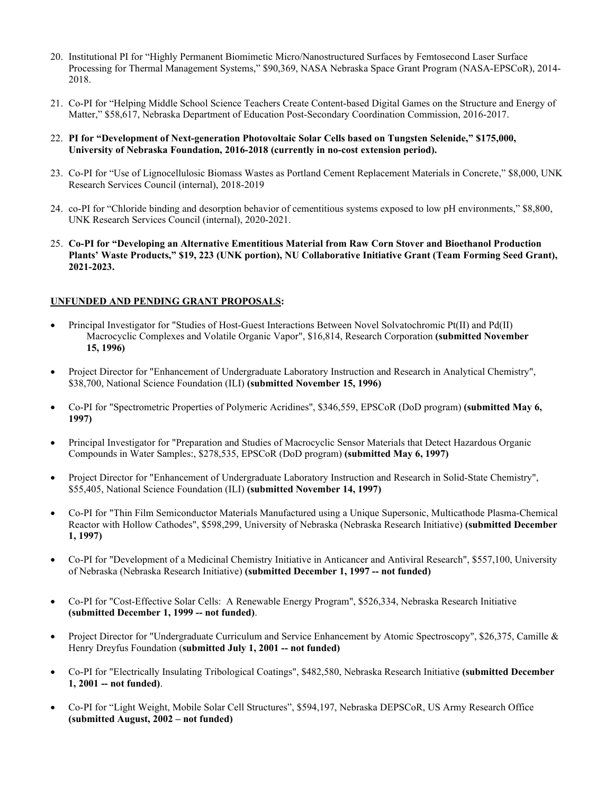- 20. Institutional PI for "Highly Permanent Biomimetic Micro/Nanostructured Surfaces by Femtosecond Laser Surface Processing for Thermal Management Systems," \$90,369, NASA Nebraska Space Grant Program (NASA-EPSCoR), 2014- 2018.
- 21. Co-PI for "Helping Middle School Science Teachers Create Content-based Digital Games on the Structure and Energy of Matter," \$58,617, Nebraska Department of Education Post-Secondary Coordination Commission, 2016-2017.
- 22. **PI for "Development of Next-generation Photovoltaic Solar Cells based on Tungsten Selenide," \$175,000, University of Nebraska Foundation, 2016-2018 (currently in no-cost extension period).**
- 23. Co-PI for "Use of Lignocellulosic Biomass Wastes as Portland Cement Replacement Materials in Concrete," \$8,000, UNK Research Services Council (internal), 2018-2019
- 24. co-PI for "Chloride binding and desorption behavior of cementitious systems exposed to low pH environments," \$8,800, UNK Research Services Council (internal), 2020-2021.
- 25. **Co-PI for "Developing an Alternative Ementitious Material from Raw Corn Stover and Bioethanol Production Plants' Waste Products," \$19, 223 (UNK portion), NU Collaborative Initiative Grant (Team Forming Seed Grant), 2021-2023.**

# **UNFUNDED AND PENDING GRANT PROPOSALS:**

- Principal Investigator for "Studies of Host-Guest Interactions Between Novel Solvatochromic Pt(II) and Pd(II) Macrocyclic Complexes and Volatile Organic Vapor", \$16,814, Research Corporation **(submitted November 15, 1996)**
- Project Director for "Enhancement of Undergraduate Laboratory Instruction and Research in Analytical Chemistry", \$38,700, National Science Foundation (ILI) **(submitted November 15, 1996)**
- Co-PI for "Spectrometric Properties of Polymeric Acridines", \$346,559, EPSCoR (DoD program) **(submitted May 6, 1997)**
- Principal Investigator for "Preparation and Studies of Macrocyclic Sensor Materials that Detect Hazardous Organic Compounds in Water Samples:, \$278,535, EPSCoR (DoD program) **(submitted May 6, 1997)**
- Project Director for "Enhancement of Undergraduate Laboratory Instruction and Research in Solid-State Chemistry", \$55,405, National Science Foundation (ILI) **(submitted November 14, 1997)**
- Co-PI for "Thin Film Semiconductor Materials Manufactured using a Unique Supersonic, Multicathode Plasma-Chemical Reactor with Hollow Cathodes", \$598,299, University of Nebraska (Nebraska Research Initiative) **(submitted December 1, 1997)**
- Co-PI for "Development of a Medicinal Chemistry Initiative in Anticancer and Antiviral Research", \$557,100, University of Nebraska (Nebraska Research Initiative) **(submitted December 1, 1997 -- not funded)**
- Co-PI for "Cost-Effective Solar Cells: A Renewable Energy Program", \$526,334, Nebraska Research Initiative **(submitted December 1, 1999 -- not funded)**.
- Project Director for "Undergraduate Curriculum and Service Enhancement by Atomic Spectroscopy", \$26,375, Camille & Henry Dreyfus Foundation (**submitted July 1, 2001 -- not funded)**
- Co-PI for "Electrically Insulating Tribological Coatings", \$482,580, Nebraska Research Initiative **(submitted December 1, 2001 -- not funded)**.
- Co-PI for "Light Weight, Mobile Solar Cell Structures", \$594,197, Nebraska DEPSCoR, US Army Research Office **(submitted August, 2002 – not funded)**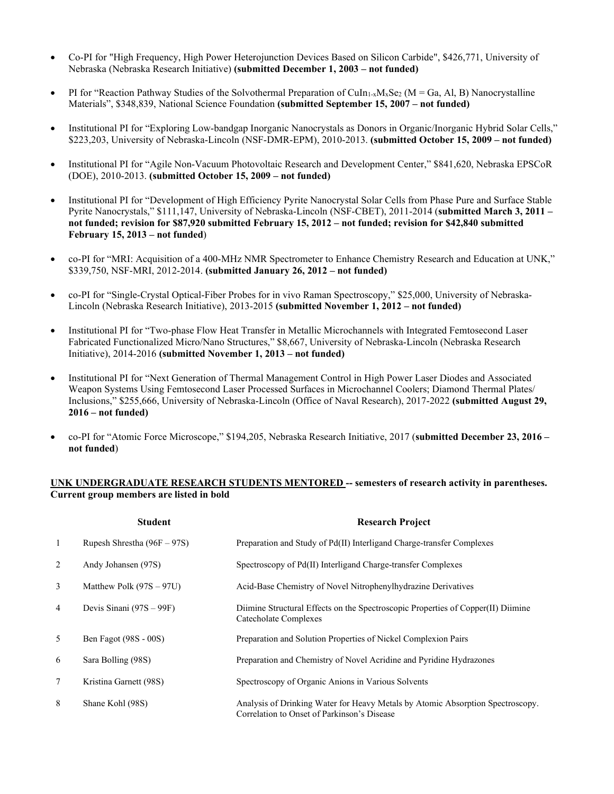- Co-PI for "High Frequency, High Power Heterojunction Devices Based on Silicon Carbide", \$426,771, University of Nebraska (Nebraska Research Initiative) **(submitted December 1, 2003 – not funded)**
- PI for "Reaction Pathway Studies of the Solvothermal Preparation of CuIn<sub>1-x</sub>M<sub>x</sub>Se<sub>2</sub> (M = Ga, Al, B) Nanocrystalline Materials", \$348,839, National Science Foundation **(submitted September 15, 2007 – not funded)**
- Institutional PI for "Exploring Low-bandgap Inorganic Nanocrystals as Donors in Organic/Inorganic Hybrid Solar Cells," \$223,203, University of Nebraska-Lincoln (NSF-DMR-EPM), 2010-2013. **(submitted October 15, 2009 – not funded)**
- Institutional PI for "Agile Non-Vacuum Photovoltaic Research and Development Center," \$841,620, Nebraska EPSCoR (DOE), 2010-2013. **(submitted October 15, 2009 – not funded)**
- Institutional PI for "Development of High Efficiency Pyrite Nanocrystal Solar Cells from Phase Pure and Surface Stable Pyrite Nanocrystals," \$111,147, University of Nebraska-Lincoln (NSF-CBET), 2011-2014 (**submitted March 3, 2011 – not funded; revision for \$87,920 submitted February 15, 2012 – not funded; revision for \$42,840 submitted February 15, 2013 – not funded**)
- co-PI for "MRI: Acquisition of a 400-MHz NMR Spectrometer to Enhance Chemistry Research and Education at UNK," \$339,750, NSF-MRI, 2012-2014. **(submitted January 26, 2012 – not funded)**
- co-PI for "Single-Crystal Optical-Fiber Probes for in vivo Raman Spectroscopy," \$25,000, University of Nebraska-Lincoln (Nebraska Research Initiative), 2013-2015 **(submitted November 1, 2012 – not funded)**
- Institutional PI for "Two-phase Flow Heat Transfer in Metallic Microchannels with Integrated Femtosecond Laser Fabricated Functionalized Micro/Nano Structures," \$8,667, University of Nebraska-Lincoln (Nebraska Research Initiative), 2014-2016 **(submitted November 1, 2013 – not funded)**
- Institutional PI for "Next Generation of Thermal Management Control in High Power Laser Diodes and Associated Weapon Systems Using Femtosecond Laser Processed Surfaces in Microchannel Coolers; Diamond Thermal Plates/ Inclusions," \$255,666, University of Nebraska-Lincoln (Office of Naval Research), 2017-2022 **(submitted August 29, 2016 – not funded)**
- co-PI for "Atomic Force Microscope," \$194,205, Nebraska Research Initiative, 2017 (**submitted December 23, 2016 – not funded**)

## **UNK UNDERGRADUATE RESEARCH STUDENTS MENTORED -- semesters of research activity in parentheses. Current group members are listed in bold**

|                | <b>Student</b>                | <b>Research Project</b>                                                                                                       |
|----------------|-------------------------------|-------------------------------------------------------------------------------------------------------------------------------|
| 1              | Rupesh Shrestha $(96F - 97S)$ | Preparation and Study of Pd(II) Interligand Charge-transfer Complexes                                                         |
| 2              | Andy Johansen (97S)           | Spectroscopy of Pd(II) Interligand Charge-transfer Complexes                                                                  |
| 3              | Matthew Polk $(97S - 97U)$    | Acid-Base Chemistry of Novel Nitrophenylhydrazine Derivatives                                                                 |
| $\overline{4}$ | Devis Sinani $(97S - 99F)$    | Diimine Structural Effects on the Spectroscopic Properties of Copper(II) Diimine<br>Catecholate Complexes                     |
| 5              | Ben Fagot (98S - 00S)         | Preparation and Solution Properties of Nickel Complexion Pairs                                                                |
| 6              | Sara Bolling (98S)            | Preparation and Chemistry of Novel Acridine and Pyridine Hydrazones                                                           |
| 7              | Kristina Garnett (98S)        | Spectroscopy of Organic Anions in Various Solvents                                                                            |
| 8              | Shane Kohl (98S)              | Analysis of Drinking Water for Heavy Metals by Atomic Absorption Spectroscopy.<br>Correlation to Onset of Parkinson's Disease |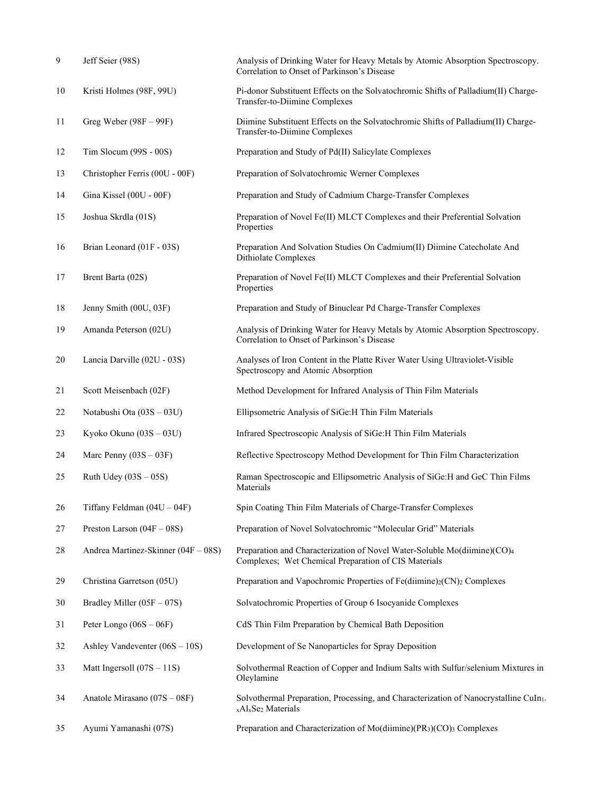| 9  | Jeff Seier (98S)                    | Analysis of Drinking Water for Heavy Metals by Atomic Absorption Spectroscopy.<br>Correlation to Onset of Parkinson's Disease                  |
|----|-------------------------------------|------------------------------------------------------------------------------------------------------------------------------------------------|
| 10 | Kristi Holmes (98F, 99U)            | Pi-donor Substituent Effects on the Solvatochromic Shifts of Palladium(II) Charge-<br>Transfer-to-Diimine Complexes                            |
| 11 | Greg Weber $(98F - 99F)$            | Diimine Substituent Effects on the Solvatochromic Shifts of Palladium(II) Charge-<br>Transfer-to-Diimine Complexes                             |
| 12 | Tim Slocum $(99S - 00S)$            | Preparation and Study of Pd(II) Salicylate Complexes                                                                                           |
| 13 | Christopher Ferris (00U - 00F)      | Preparation of Solvatochromic Werner Complexes                                                                                                 |
| 14 | Gina Kissel (00U - 00F)             | Preparation and Study of Cadmium Charge-Transfer Complexes                                                                                     |
| 15 | Joshua Skrdla (01S)                 | Preparation of Novel Fe(II) MLCT Complexes and their Preferential Solvation<br>Properties                                                      |
| 16 | Brian Leonard (01F - 03S)           | Preparation And Solvation Studies On Cadmium(II) Diimine Catecholate And<br>Dithiolate Complexes                                               |
| 17 | Brent Barta (02S)                   | Preparation of Novel Fe(II) MLCT Complexes and their Preferential Solvation<br>Properties                                                      |
| 18 | Jenny Smith (00U, 03F)              | Preparation and Study of Binuclear Pd Charge-Transfer Complexes                                                                                |
| 19 | Amanda Peterson (02U)               | Analysis of Drinking Water for Heavy Metals by Atomic Absorption Spectroscopy.<br>Correlation to Onset of Parkinson's Disease                  |
| 20 | Lancia Darville (02U - 03S)         | Analyses of Iron Content in the Platte River Water Using Ultraviolet-Visible<br>Spectroscopy and Atomic Absorption                             |
| 21 | Scott Meisenbach (02F)              | Method Development for Infrared Analysis of Thin Film Materials                                                                                |
| 22 | Notabushi Ota (03S - 03U)           | Ellipsometric Analysis of SiGe: H Thin Film Materials                                                                                          |
| 23 | Kyoko Okuno (03S - 03U)             | Infrared Spectroscopic Analysis of SiGe:H Thin Film Materials                                                                                  |
| 24 | Marc Penny $(03S - 03F)$            | Reflective Spectroscopy Method Development for Thin Film Characterization                                                                      |
| 25 | Ruth Udey $(03S - 05S)$             | Raman Spectroscopic and Ellipsometric Analysis of SiGe:H and GeC Thin Films<br>Materials                                                       |
| 26 | Tiffany Feldman $(04U - 04F)$       | Spin Coating Thin Film Materials of Charge-Transfer Complexes                                                                                  |
| 27 | Preston Larson $(04F - 08S)$        | Preparation of Novel Solvatochromic "Molecular Grid" Materials                                                                                 |
| 28 | Andrea Martinez-Skinner (04F - 08S) | Preparation and Characterization of Novel Water-Soluble Mo(diimine)(CO)4<br>Complexes; Wet Chemical Preparation of CIS Materials               |
| 29 | Christina Garretson (05U)           | Preparation and Vapochromic Properties of Fe(diimine)2(CN)2 Complexes                                                                          |
| 30 | Bradley Miller $(05F - 07S)$        | Solvatochromic Properties of Group 6 Isocyanide Complexes                                                                                      |
| 31 | Peter Longo $(06S - 06F)$           | CdS Thin Film Preparation by Chemical Bath Deposition                                                                                          |
| 32 | Ashley Vandeventer $(06S - 10S)$    | Development of Se Nanoparticles for Spray Deposition                                                                                           |
| 33 | Matt Ingersoll $(07S - 11S)$        | Solvothermal Reaction of Copper and Indium Salts with Sulfur/selenium Mixtures in<br>Oleylamine                                                |
| 34 | Anatole Mirasano $(07S - 08F)$      | Solvothermal Preparation, Processing, and Characterization of Nanocrystalline CuIn1.<br><sub>x</sub> Al <sub>x</sub> Se <sub>2</sub> Materials |
| 35 | Ayumi Yamanashi (07S)               | Preparation and Characterization of Mo(diimine)(PR3)(CO)3 Complexes                                                                            |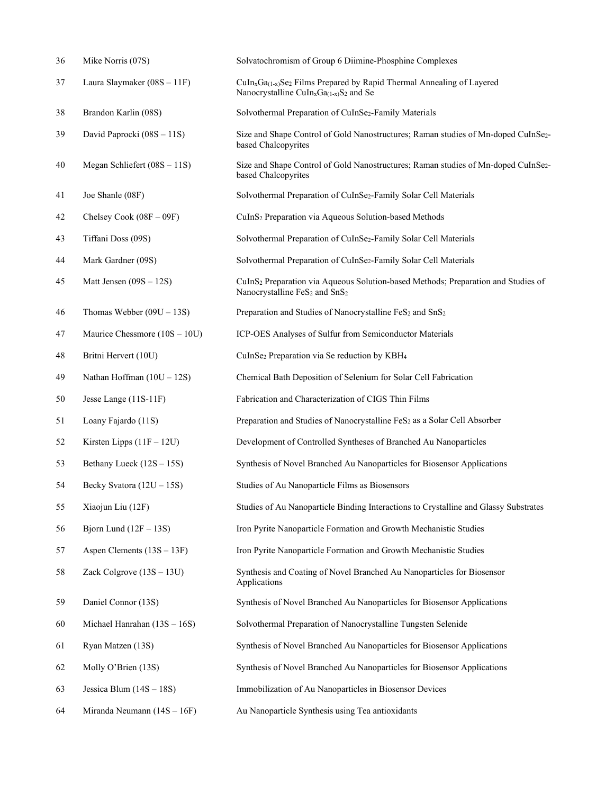| 36 | Mike Norris (07S)               | Solvatochromism of Group 6 Diimine-Phosphine Complexes                                                                                                                  |
|----|---------------------------------|-------------------------------------------------------------------------------------------------------------------------------------------------------------------------|
| 37 | Laura Slaymaker $(08S - 11F)$   | CuIn <sub>x</sub> Ga <sub>(1-x)</sub> Se <sub>2</sub> Films Prepared by Rapid Thermal Annealing of Layered<br>Nanocrystalline CuIn <sub>x</sub> Ga $_{(1-x)}S_2$ and Se |
| 38 | Brandon Karlin (08S)            | Solvothermal Preparation of CuInSe2-Family Materials                                                                                                                    |
| 39 | David Paprocki (08S - 11S)      | Size and Shape Control of Gold Nanostructures; Raman studies of Mn-doped CuInSe <sub>2</sub> -<br>based Chalcopyrites                                                   |
| 40 | Megan Schliefert $(08S - 11S)$  | Size and Shape Control of Gold Nanostructures; Raman studies of Mn-doped CuInSe2-<br>based Chalcopyrites                                                                |
| 41 | Joe Shanle (08F)                | Solvothermal Preparation of CuInSe2-Family Solar Cell Materials                                                                                                         |
| 42 | Chelsey Cook $(08F - 09F)$      | CuInS <sub>2</sub> Preparation via Aqueous Solution-based Methods                                                                                                       |
| 43 | Tiffani Doss (09S)              | Solvothermal Preparation of CuInSe <sub>2</sub> -Family Solar Cell Materials                                                                                            |
| 44 | Mark Gardner (09S)              | Solvothermal Preparation of CuInSe2-Family Solar Cell Materials                                                                                                         |
| 45 | Matt Jensen $(09S - 12S)$       | CuInS <sub>2</sub> Preparation via Aqueous Solution-based Methods; Preparation and Studies of<br>Nanocrystalline FeS <sub>2</sub> and SnS <sub>2</sub>                  |
| 46 | Thomas Webber $(09U - 13S)$     | Preparation and Studies of Nanocrystalline FeS2 and SnS2                                                                                                                |
| 47 | Maurice Chessmore $(10S - 10U)$ | ICP-OES Analyses of Sulfur from Semiconductor Materials                                                                                                                 |
| 48 | Britni Hervert (10U)            | CuInSe2 Preparation via Se reduction by KBH4                                                                                                                            |
| 49 | Nathan Hoffman $(10U - 12S)$    | Chemical Bath Deposition of Selenium for Solar Cell Fabrication                                                                                                         |
| 50 | Jesse Lange (11S-11F)           | Fabrication and Characterization of CIGS Thin Films                                                                                                                     |
| 51 | Loany Fajardo (11S)             | Preparation and Studies of Nanocrystalline FeS2 as a Solar Cell Absorber                                                                                                |
| 52 | Kirsten Lipps $(11F - 12U)$     | Development of Controlled Syntheses of Branched Au Nanoparticles                                                                                                        |
| 53 | Bethany Lueck (12S - 15S)       | Synthesis of Novel Branched Au Nanoparticles for Biosensor Applications                                                                                                 |
| 54 | Becky Svatora $(12U - 15S)$     | Studies of Au Nanoparticle Films as Biosensors                                                                                                                          |
| 55 | Xiaojun Liu (12F)               | Studies of Au Nanoparticle Binding Interactions to Crystalline and Glassy Substrates                                                                                    |
| 56 | Bjorn Lund $(12F - 13S)$        | Iron Pyrite Nanoparticle Formation and Growth Mechanistic Studies                                                                                                       |
| 57 | Aspen Clements $(13S - 13F)$    | Iron Pyrite Nanoparticle Formation and Growth Mechanistic Studies                                                                                                       |
| 58 | Zack Colgrove (13S - 13U)       | Synthesis and Coating of Novel Branched Au Nanoparticles for Biosensor<br>Applications                                                                                  |
| 59 | Daniel Connor (13S)             | Synthesis of Novel Branched Au Nanoparticles for Biosensor Applications                                                                                                 |
| 60 | Michael Hanrahan $(13S - 16S)$  | Solvothermal Preparation of Nanocrystalline Tungsten Selenide                                                                                                           |
| 61 | Ryan Matzen (13S)               | Synthesis of Novel Branched Au Nanoparticles for Biosensor Applications                                                                                                 |
| 62 | Molly O'Brien (13S)             | Synthesis of Novel Branched Au Nanoparticles for Biosensor Applications                                                                                                 |
| 63 | Jessica Blum $(14S - 18S)$      | Immobilization of Au Nanoparticles in Biosensor Devices                                                                                                                 |
| 64 | Miranda Neumann $(14S - 16F)$   | Au Nanoparticle Synthesis using Tea antioxidants                                                                                                                        |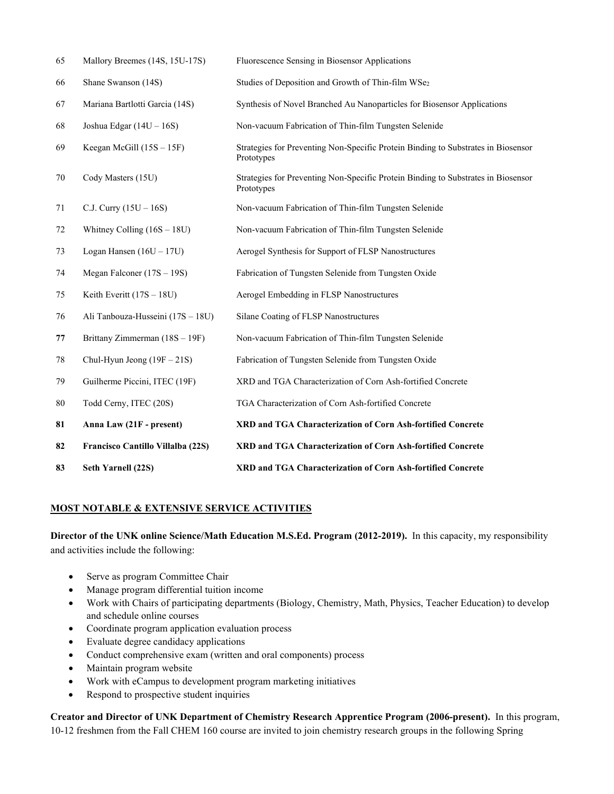| 65 | Mallory Breemes (14S, 15U-17S)    | Fluorescence Sensing in Biosensor Applications                                                  |
|----|-----------------------------------|-------------------------------------------------------------------------------------------------|
| 66 | Shane Swanson (14S)               | Studies of Deposition and Growth of Thin-film WSe2                                              |
| 67 | Mariana Bartlotti Garcia (14S)    | Synthesis of Novel Branched Au Nanoparticles for Biosensor Applications                         |
| 68 | Joshua Edgar $(14U - 16S)$        | Non-vacuum Fabrication of Thin-film Tungsten Selenide                                           |
| 69 | Keegan McGill (15S - 15F)         | Strategies for Preventing Non-Specific Protein Binding to Substrates in Biosensor<br>Prototypes |
| 70 | Cody Masters (15U)                | Strategies for Preventing Non-Specific Protein Binding to Substrates in Biosensor<br>Prototypes |
| 71 | C.J. Curry $(15U - 16S)$          | Non-vacuum Fabrication of Thin-film Tungsten Selenide                                           |
| 72 | Whitney Colling $(16S - 18U)$     | Non-vacuum Fabrication of Thin-film Tungsten Selenide                                           |
| 73 | Logan Hansen $(16U - 17U)$        | Aerogel Synthesis for Support of FLSP Nanostructures                                            |
| 74 | Megan Falconer $(17S - 19S)$      | Fabrication of Tungsten Selenide from Tungsten Oxide                                            |
| 75 | Keith Everitt $(17S - 18U)$       | Aerogel Embedding in FLSP Nanostructures                                                        |
| 76 | Ali Tanbouza-Husseini (17S - 18U) | Silane Coating of FLSP Nanostructures                                                           |
| 77 | Brittany Zimmerman $(18S - 19F)$  | Non-vacuum Fabrication of Thin-film Tungsten Selenide                                           |
| 78 | Chul-Hyun Jeong $(19F - 21S)$     | Fabrication of Tungsten Selenide from Tungsten Oxide                                            |
| 79 | Guilherme Piccini, ITEC (19F)     | XRD and TGA Characterization of Corn Ash-fortified Concrete                                     |
| 80 | Todd Cerny, ITEC (20S)            | TGA Characterization of Corn Ash-fortified Concrete                                             |
| 81 | Anna Law (21F - present)          | XRD and TGA Characterization of Corn Ash-fortified Concrete                                     |
| 82 | Francisco Cantillo Villalba (22S) | XRD and TGA Characterization of Corn Ash-fortified Concrete                                     |
| 83 | Seth Yarnell (22S)                | XRD and TGA Characterization of Corn Ash-fortified Concrete                                     |

# **MOST NOTABLE & EXTENSIVE SERVICE ACTIVITIES**

**Director of the UNK online Science/Math Education M.S.Ed. Program (2012-2019).** In this capacity, my responsibility and activities include the following:

- Serve as program Committee Chair
- Manage program differential tuition income
- Work with Chairs of participating departments (Biology, Chemistry, Math, Physics, Teacher Education) to develop and schedule online courses
- Coordinate program application evaluation process
- Evaluate degree candidacy applications
- Conduct comprehensive exam (written and oral components) process
- Maintain program website
- Work with eCampus to development program marketing initiatives
- Respond to prospective student inquiries

**Creator and Director of UNK Department of Chemistry Research Apprentice Program (2006-present).** In this program, 10-12 freshmen from the Fall CHEM 160 course are invited to join chemistry research groups in the following Spring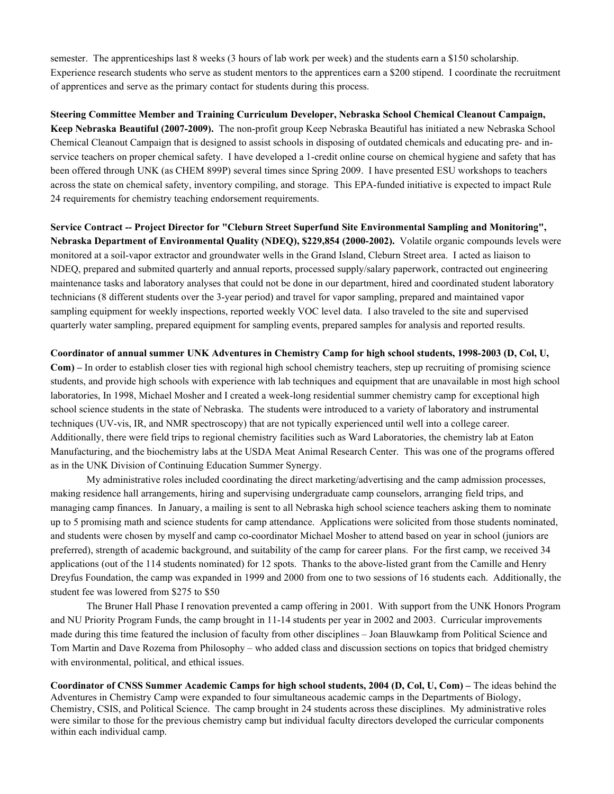semester. The apprenticeships last 8 weeks (3 hours of lab work per week) and the students earn a \$150 scholarship. Experience research students who serve as student mentors to the apprentices earn a \$200 stipend. I coordinate the recruitment of apprentices and serve as the primary contact for students during this process.

**Steering Committee Member and Training Curriculum Developer, Nebraska School Chemical Cleanout Campaign, Keep Nebraska Beautiful (2007-2009).** The non-profit group Keep Nebraska Beautiful has initiated a new Nebraska School Chemical Cleanout Campaign that is designed to assist schools in disposing of outdated chemicals and educating pre- and inservice teachers on proper chemical safety. I have developed a 1-credit online course on chemical hygiene and safety that has been offered through UNK (as CHEM 899P) several times since Spring 2009. I have presented ESU workshops to teachers across the state on chemical safety, inventory compiling, and storage. This EPA-funded initiative is expected to impact Rule 24 requirements for chemistry teaching endorsement requirements.

**Service Contract -- Project Director for "Cleburn Street Superfund Site Environmental Sampling and Monitoring", Nebraska Department of Environmental Quality (NDEQ), \$229,854 (2000-2002).** Volatile organic compounds levels were monitored at a soil-vapor extractor and groundwater wells in the Grand Island, Cleburn Street area. I acted as liaison to NDEQ, prepared and submited quarterly and annual reports, processed supply/salary paperwork, contracted out engineering maintenance tasks and laboratory analyses that could not be done in our department, hired and coordinated student laboratory technicians (8 different students over the 3-year period) and travel for vapor sampling, prepared and maintained vapor sampling equipment for weekly inspections, reported weekly VOC level data. I also traveled to the site and supervised quarterly water sampling, prepared equipment for sampling events, prepared samples for analysis and reported results.

**Coordinator of annual summer UNK Adventures in Chemistry Camp for high school students, 1998-2003 (D, Col, U,** 

**Com) –** In order to establish closer ties with regional high school chemistry teachers, step up recruiting of promising science students, and provide high schools with experience with lab techniques and equipment that are unavailable in most high school laboratories, In 1998, Michael Mosher and I created a week-long residential summer chemistry camp for exceptional high school science students in the state of Nebraska. The students were introduced to a variety of laboratory and instrumental techniques (UV-vis, IR, and NMR spectroscopy) that are not typically experienced until well into a college career. Additionally, there were field trips to regional chemistry facilities such as Ward Laboratories, the chemistry lab at Eaton Manufacturing, and the biochemistry labs at the USDA Meat Animal Research Center. This was one of the programs offered as in the UNK Division of Continuing Education Summer Synergy.

My administrative roles included coordinating the direct marketing/advertising and the camp admission processes, making residence hall arrangements, hiring and supervising undergraduate camp counselors, arranging field trips, and managing camp finances. In January, a mailing is sent to all Nebraska high school science teachers asking them to nominate up to 5 promising math and science students for camp attendance. Applications were solicited from those students nominated, and students were chosen by myself and camp co-coordinator Michael Mosher to attend based on year in school (juniors are preferred), strength of academic background, and suitability of the camp for career plans. For the first camp, we received 34 applications (out of the 114 students nominated) for 12 spots. Thanks to the above-listed grant from the Camille and Henry Dreyfus Foundation, the camp was expanded in 1999 and 2000 from one to two sessions of 16 students each. Additionally, the student fee was lowered from \$275 to \$50

The Bruner Hall Phase I renovation prevented a camp offering in 2001. With support from the UNK Honors Program and NU Priority Program Funds, the camp brought in 11-14 students per year in 2002 and 2003. Curricular improvements made during this time featured the inclusion of faculty from other disciplines – Joan Blauwkamp from Political Science and Tom Martin and Dave Rozema from Philosophy – who added class and discussion sections on topics that bridged chemistry with environmental, political, and ethical issues.

**Coordinator of CNSS Summer Academic Camps for high school students, 2004 (D, Col, U, Com) –** The ideas behind the Adventures in Chemistry Camp were expanded to four simultaneous academic camps in the Departments of Biology, Chemistry, CSIS, and Political Science. The camp brought in 24 students across these disciplines. My administrative roles were similar to those for the previous chemistry camp but individual faculty directors developed the curricular components within each individual camp.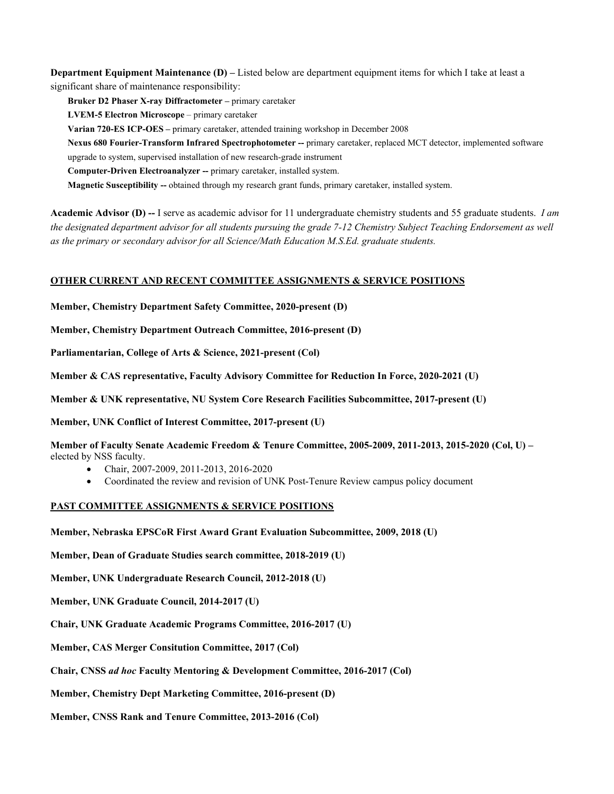**Department Equipment Maintenance (D)** – Listed below are department equipment items for which I take at least a significant share of maintenance responsibility:

**Bruker D2 Phaser X-ray Diffractometer –** primary caretaker

**LVEM-5 Electron Microscope** – primary caretaker

**Varian 720-ES ICP-OES –** primary caretaker, attended training workshop in December 2008

**Nexus 680 Fourier-Transform Infrared Spectrophotometer --** primary caretaker, replaced MCT detector, implemented software upgrade to system, supervised installation of new research-grade instrument

**Computer-Driven Electroanalyzer --** primary caretaker, installed system.

**Magnetic Susceptibility --** obtained through my research grant funds, primary caretaker, installed system.

**Academic Advisor (D) --** I serve as academic advisor for 11 undergraduate chemistry students and 55 graduate students. *I am the designated department advisor for all students pursuing the grade 7-12 Chemistry Subject Teaching Endorsement as well as the primary or secondary advisor for all Science/Math Education M.S.Ed. graduate students.*

## **OTHER CURRENT AND RECENT COMMITTEE ASSIGNMENTS & SERVICE POSITIONS**

**Member, Chemistry Department Safety Committee, 2020-present (D)**

**Member, Chemistry Department Outreach Committee, 2016-present (D)**

**Parliamentarian, College of Arts & Science, 2021-present (Col)**

**Member & CAS representative, Faculty Advisory Committee for Reduction In Force, 2020-2021 (U)**

**Member & UNK representative, NU System Core Research Facilities Subcommittee, 2017-present (U)**

**Member, UNK Conflict of Interest Committee, 2017-present (U)**

**Member of Faculty Senate Academic Freedom & Tenure Committee, 2005-2009, 2011-2013, 2015-2020 (Col, U) –** elected by NSS faculty.

- Chair, 2007-2009, 2011-2013, 2016-2020
- Coordinated the review and revision of UNK Post-Tenure Review campus policy document

## **PAST COMMITTEE ASSIGNMENTS & SERVICE POSITIONS**

**Member, Nebraska EPSCoR First Award Grant Evaluation Subcommittee, 2009, 2018 (U)**

**Member, Dean of Graduate Studies search committee, 2018-2019 (U)**

**Member, UNK Undergraduate Research Council, 2012-2018 (U)**

**Member, UNK Graduate Council, 2014-2017 (U)**

**Chair, UNK Graduate Academic Programs Committee, 2016-2017 (U)**

**Member, CAS Merger Consitution Committee, 2017 (Col)**

**Chair, CNSS** *ad hoc* **Faculty Mentoring & Development Committee, 2016-2017 (Col)**

**Member, Chemistry Dept Marketing Committee, 2016-present (D)**

**Member, CNSS Rank and Tenure Committee, 2013-2016 (Col)**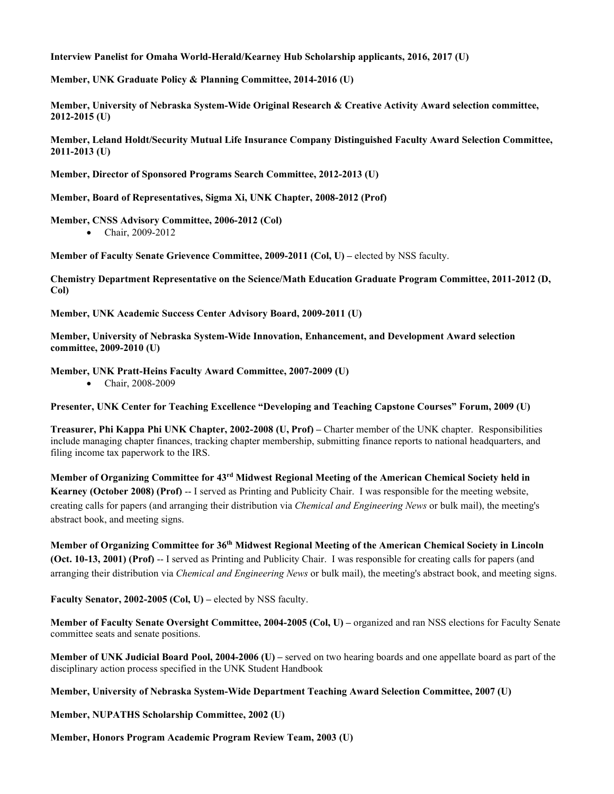## **Interview Panelist for Omaha World-Herald/Kearney Hub Scholarship applicants, 2016, 2017 (U)**

**Member, UNK Graduate Policy & Planning Committee, 2014-2016 (U)**

**Member, University of Nebraska System-Wide Original Research & Creative Activity Award selection committee, 2012-2015 (U)**

**Member, Leland Holdt/Security Mutual Life Insurance Company Distinguished Faculty Award Selection Committee, 2011-2013 (U)**

**Member, Director of Sponsored Programs Search Committee, 2012-2013 (U)**

**Member, Board of Representatives, Sigma Xi, UNK Chapter, 2008-2012 (Prof)**

## **Member, CNSS Advisory Committee, 2006-2012 (Col)**

• Chair, 2009-2012

**Member of Faculty Senate Grievence Committee, 2009-2011 (Col, U) –** elected by NSS faculty.

**Chemistry Department Representative on the Science/Math Education Graduate Program Committee, 2011-2012 (D, Col)**

**Member, UNK Academic Success Center Advisory Board, 2009-2011 (U)**

**Member, University of Nebraska System-Wide Innovation, Enhancement, and Development Award selection committee, 2009-2010 (U)**

**Member, UNK Pratt-Heins Faculty Award Committee, 2007-2009 (U)**

• Chair, 2008-2009

**Presenter, UNK Center for Teaching Excellence "Developing and Teaching Capstone Courses" Forum, 2009 (U)**

**Treasurer, Phi Kappa Phi UNK Chapter, 2002-2008 (U, Prof) –** Charter member of the UNK chapter. Responsibilities include managing chapter finances, tracking chapter membership, submitting finance reports to national headquarters, and filing income tax paperwork to the IRS.

**Member of Organizing Committee for 43rd Midwest Regional Meeting of the American Chemical Society held in Kearney (October 2008) (Prof)** -- I served as Printing and Publicity Chair. I was responsible for the meeting website, creating calls for papers (and arranging their distribution via *Chemical and Engineering News* or bulk mail), the meeting's abstract book, and meeting signs.

**Member of Organizing Committee for 36th Midwest Regional Meeting of the American Chemical Society in Lincoln (Oct. 10-13, 2001) (Prof)** -- I served as Printing and Publicity Chair. I was responsible for creating calls for papers (and arranging their distribution via *Chemical and Engineering News* or bulk mail), the meeting's abstract book, and meeting signs.

**Faculty Senator, 2002-2005 (Col, U) –** elected by NSS faculty.

**Member of Faculty Senate Oversight Committee, 2004-2005 (Col, U) –** organized and ran NSS elections for Faculty Senate committee seats and senate positions.

**Member of UNK Judicial Board Pool, 2004-2006 (U) –** served on two hearing boards and one appellate board as part of the disciplinary action process specified in the UNK Student Handbook

**Member, University of Nebraska System-Wide Department Teaching Award Selection Committee, 2007 (U)**

**Member, NUPATHS Scholarship Committee, 2002 (U)**

**Member, Honors Program Academic Program Review Team, 2003 (U)**